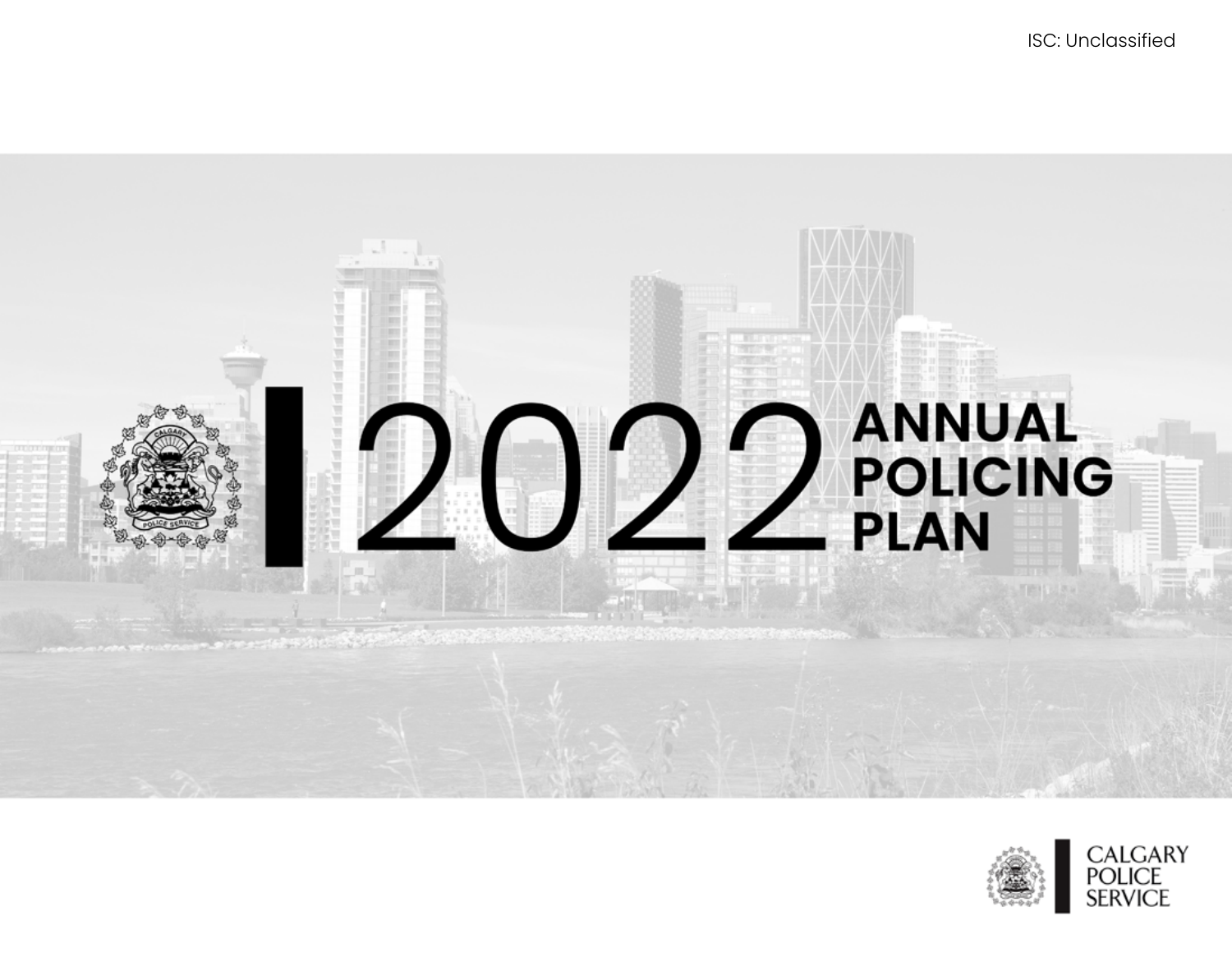ISC: Unclassified



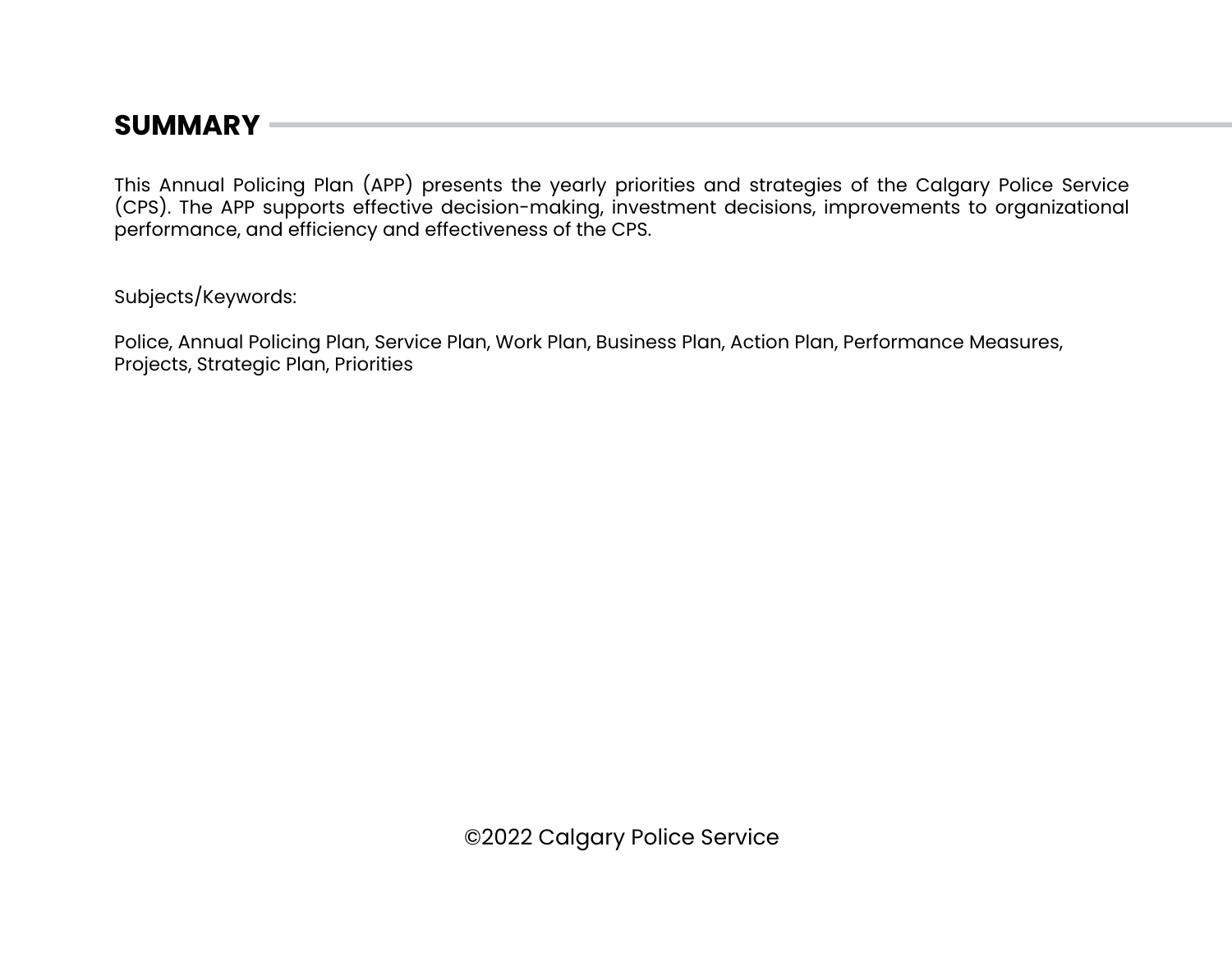# **SUMMARY**

This Annual Policing Plan (APP) presents the yearly priorities and strategies of the Calgary Police Service (CPS). The APP supports effective decision-making, investment decisions, improvements to organizational performance, and efficiency and effectiveness of the CPS.

Subjects/Keywords:

Police, Annual Policing Plan, Service Plan, Work Plan, Business Plan, Action Plan, Performance Measures, Projects, Strategic Plan, Priorities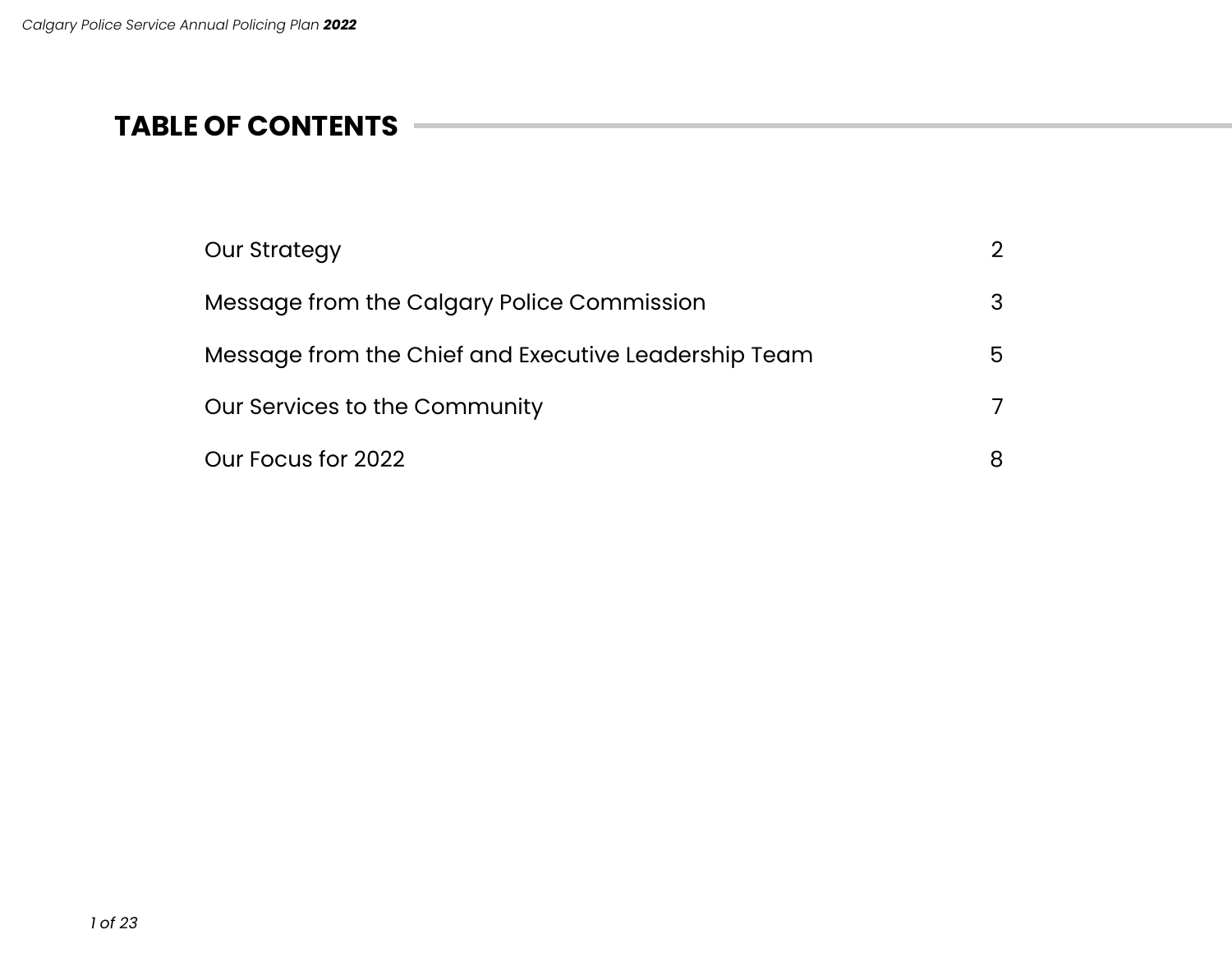# **TABLE OF CONTENTS**

| <b>Our Strategy</b>                                  | $\mathcal{L}$ |
|------------------------------------------------------|---------------|
| Message from the Calgary Police Commission           | 3             |
| Message from the Chief and Executive Leadership Team | 5.            |
| Our Services to the Community                        | 7             |
| Our Focus for 2022                                   | 8             |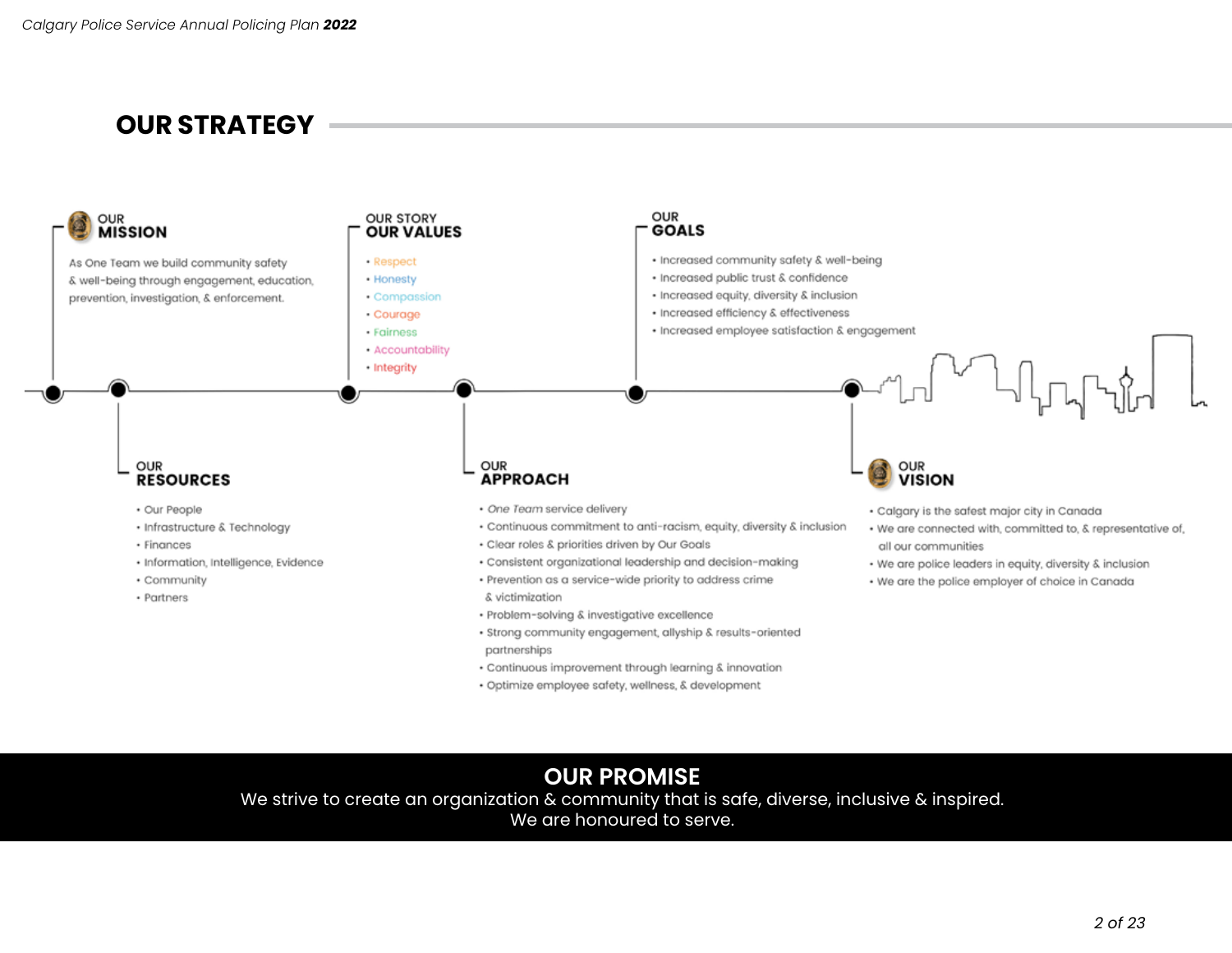# **OUR STRATEGY**



# **OUR PROMISE**

We strive to create an organization & community that is safe, diverse, inclusive & inspired. We are honoured to serve.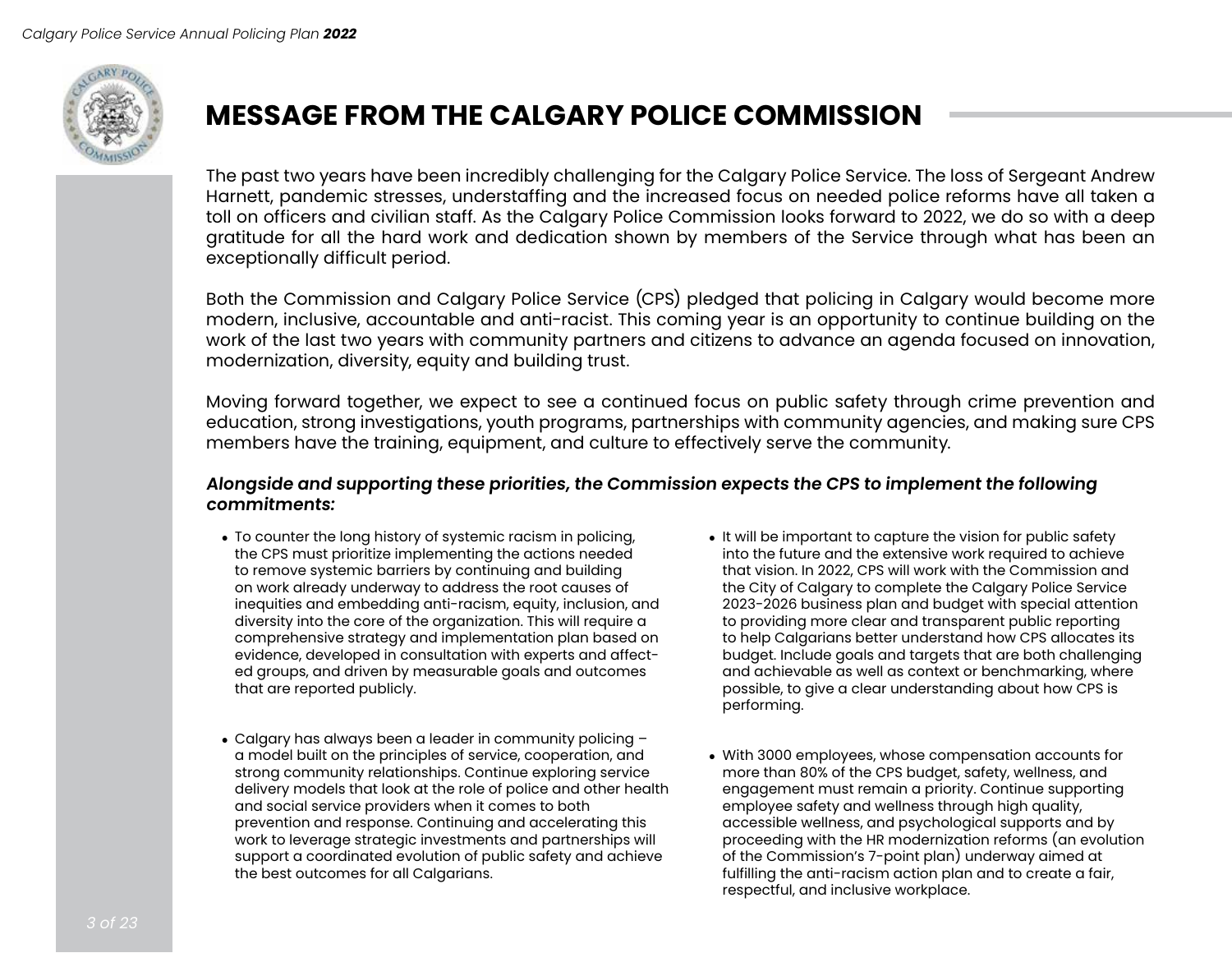

# **MESSAGE FROM THE CALGARY POLICE COMMISSION**

The past two years have been incredibly challenging for the Calgary Police Service. The loss of Sergeant Andrew Harnett, pandemic stresses, understaffing and the increased focus on needed police reforms have all taken a toll on officers and civilian staff. As the Calgary Police Commission looks forward to 2022, we do so with a deep gratitude for all the hard work and dedication shown by members of the Service through what has been an exceptionally difficult period.

Both the Commission and Calgary Police Service (CPS) pledged that policing in Calgary would become more modern, inclusive, accountable and anti-racist. This coming year is an opportunity to continue building on the work of the last two years with community partners and citizens to advance an agenda focused on innovation, modernization, diversity, equity and building trust.

Moving forward together, we expect to see a continued focus on public safety through crime prevention and education, strong investigations, youth programs, partnerships with community agencies, and making sure CPS members have the training, equipment, and culture to effectively serve the community.

# **Alongside and supporting these priorities, the Commission expects the CPS to implement the following commitments:**

- To counter the long history of systemic racism in policing, • the CPS must prioritize implementing the actions needed to remove systemic barriers by continuing and building on work already underway to address the root causes of inequities and embedding anti-racism, equity, inclusion, and diversity into the core of the organization. This will require a comprehensive strategy and implementation plan based on evidence, developed in consultation with experts and affected groups, and driven by measurable goals and outcomes that are reported publicly.
- Calgary has always been a leader in community policing •a model built on the principles of service, cooperation, and strong community relationships. Continue exploring service delivery models that look at the role of police and other health and social service providers when it comes to both prevention and response. Continuing and accelerating this work to leverage strategic investments and partnerships will support a coordinated evolution of public safety and achieve the best outcomes for all Calgarians.
- It will be important to capture the vision for public safety into the future and the extensive work required to achieve that vision. In 2022, CPS will work with the Commission and the City of Calgary to complete the Calgary Police Service 2023-2026 business plan and budget with special attention to providing more clear and transparent public reporting to help Calgarians better understand how CPS allocates its budget. Include goals and targets that are both challenging and achievable as well as context or benchmarking, where possible, to give a clear understanding about how CPS is performing.
	- With 3000 employees, whose compensation accounts for more than 80% of the CPS budget, safety, wellness, and engagement must remain a priority. Continue supporting employee safety and wellness through high quality, accessible wellness, and psychological supports and by proceeding with the HR modernization reforms (an evolution of the Commission's 7-point plan) underway aimed at fulfilling the anti-racism action plan and to create a fair, respectful, and inclusive workplace.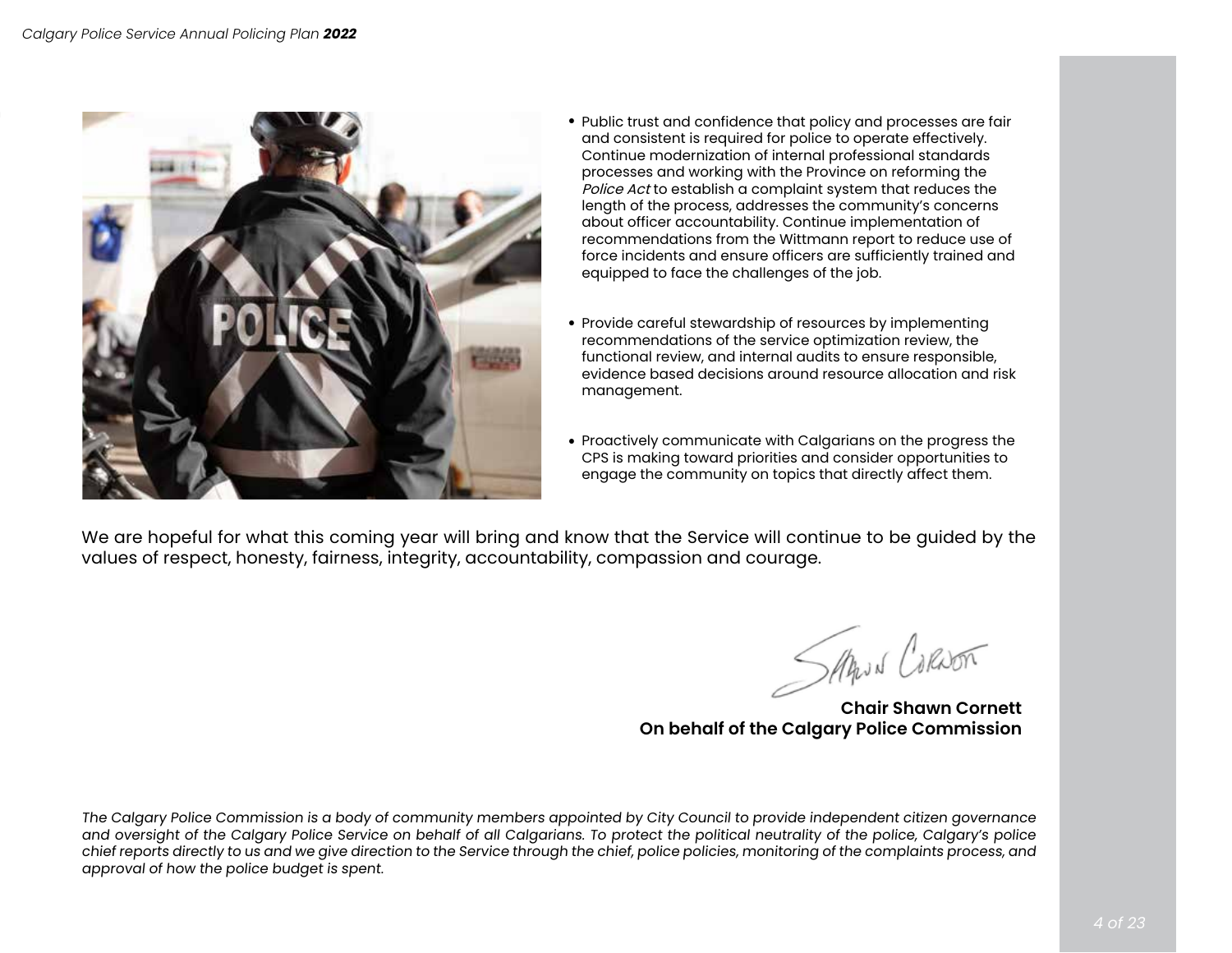

- Public trust and confidence that policy and processes are fair and consistent is required for police to operate effectively. Continue modernization of internal professional standards processes and working with the Province on reforming the Police Act to establish a complaint system that reduces the length of the process, addresses the community's concerns about officer accountability. Continue implementation of recommendations from the Wittmann report to reduce use of force incidents and ensure officers are sufficiently trained and equipped to face the challenges of the job.
- Provide careful stewardship of resources by implementing recommendations of the service optimization review, the functional review, and internal audits to ensure responsible, evidence based decisions around resource allocation and risk management.
- Proactively communicate with Calgarians on the progress the •CPS is making toward priorities and consider opportunities to engage the community on topics that directly affect them.

We are hopeful for what this coming year will bring and know that the Service will continue to be guided by the values of respect, honesty, fairness, integrity, accountability, compassion and courage.

SARIN CORNON

**Chair Shawn Cornett On behalf of the Calgary Police Commission**

The Calgary Police Commission is a body of community members appointed by City Council to provide independent citizen governance and oversight of the Calgary Police Service on behalf of all Calgarians. To protect the political neutrality of the police, Calgary's police chief reports directly to us and we give direction to the Service through the chief, police policies, monitoring of the complaints process, and approval of how the police budget is spent.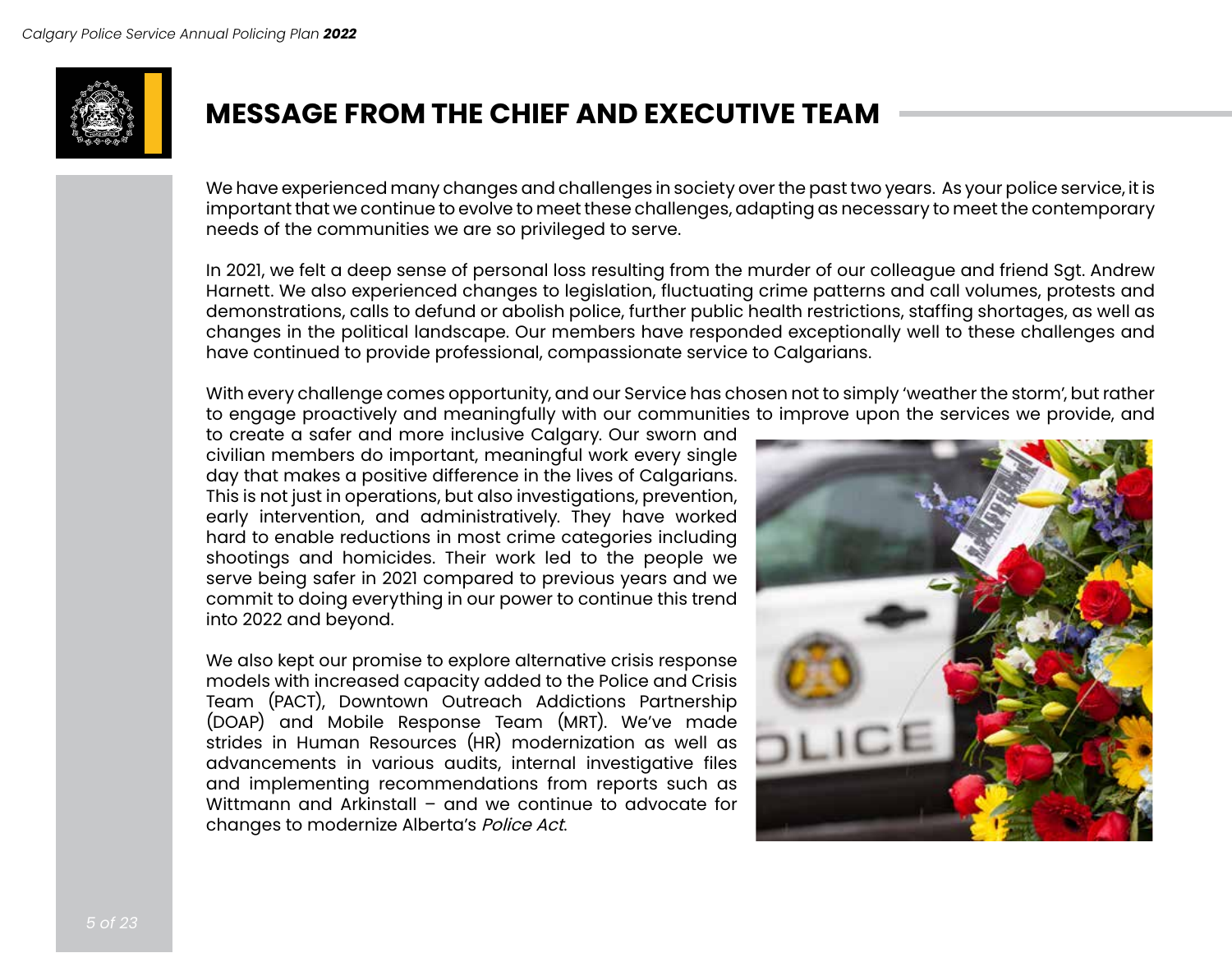

# **MESSAGE FROM THE CHIEF AND EXECUTIVE TEAM**

We have experienced many changes and challenges in society over the past two years. As your police service, it is important that we continue to evolve to meet these challenges, adapting as necessary to meet the contemporary needs of the communities we are so privileged to serve.

In 2021, we felt a deep sense of personal loss resulting from the murder of our colleague and friend Sgt. Andrew Harnett. We also experienced changes to legislation, fluctuating crime patterns and call volumes, protests and demonstrations, calls to defund or abolish police, further public health restrictions, staffing shortages, as well as changes in the political landscape. Our members have responded exceptionally well to these challenges and have continued to provide professional, compassionate service to Calgarians.

With every challenge comes opportunity, and our Service has chosen not to simply 'weather the storm', but rather to engage proactively and meaningfully with our communities to improve upon the services we provide, and

to create a safer and more inclusive Calgary. Our sworn and civilian members do important, meaningful work every single day that makes a positive difference in the lives of Calgarians. This is not just in operations, but also investigations, prevention, early intervention, and administratively. They have worked hard to enable reductions in most crime categories including shootings and homicides. Their work led to the people we serve being safer in 2021 compared to previous years and we commit to doing everything in our power to continue this trend into 2022 and beyond.

We also kept our promise to explore alternative crisis response models with increased capacity added to the Police and Crisis Team (PACT), Downtown Outreach Addictions Partnership (DOAP) and Mobile Response Team (MRT). We've made strides in Human Resources (HR) modernization as well as advancements in various audits, internal investigative files and implementing recommendations from reports such as Wittmann and Arkinstall – and we continue to advocate for changes to modernize Alberta's Police Act.

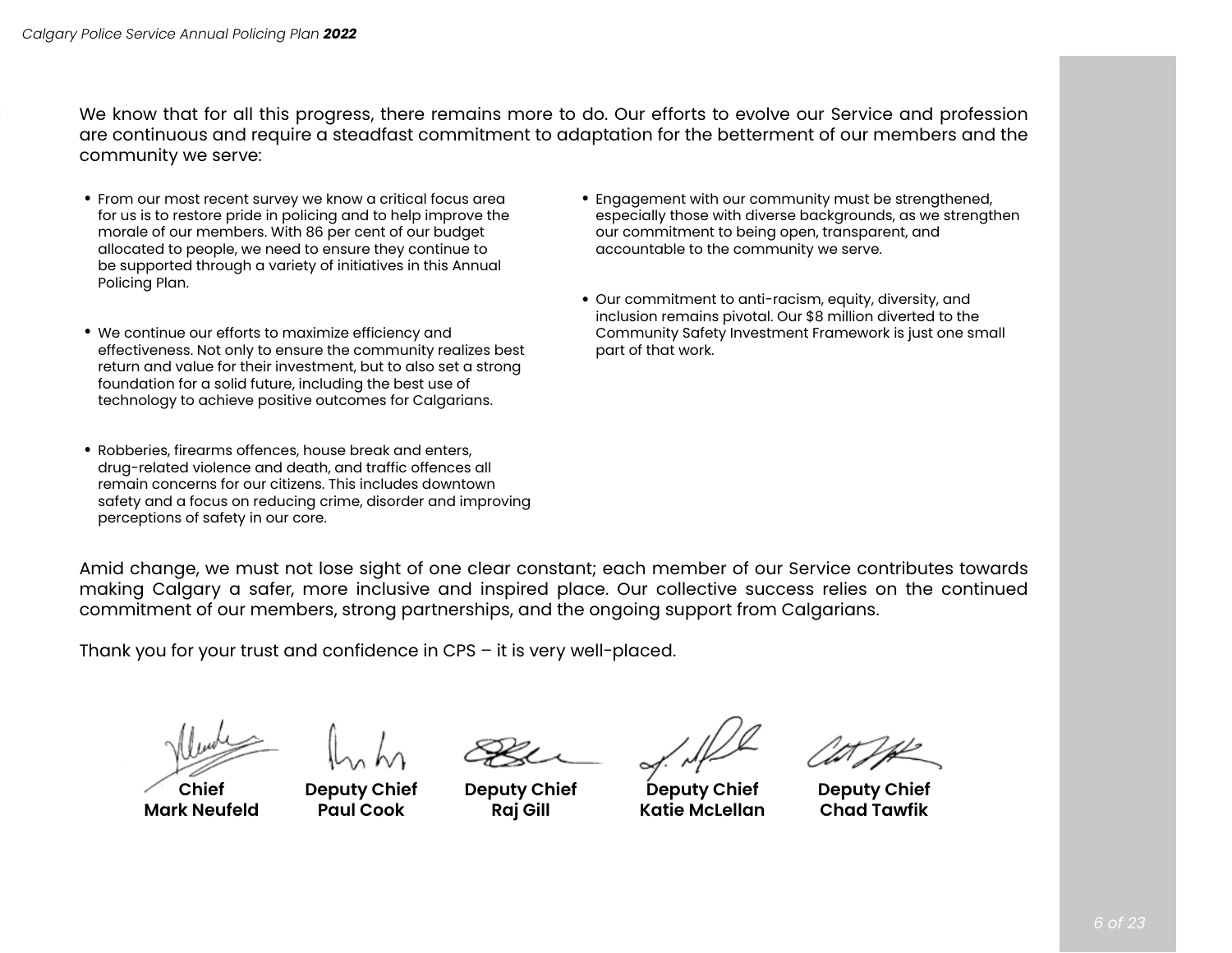We know that for all this progress, there remains more to do. Our efforts to evolve our Service and profession are continuous and require a steadfast commitment to adaptation for the betterment of our members and the community we serve:

- From our most recent survey we know a critical focus area for us is to restore pride in policing and to help improve the morale of our members. With 86 per cent of our budget allocated to people, we need to ensure they continue to be supported through a variety of initiatives in this Annual Policing Plan.
- We continue our efforts to maximize efficiency and effectiveness. Not only to ensure the community realizes best return and value for their investment, but to also set a strong foundation for a solid future, including the best use of technology to achieve positive outcomes for Calgarians.
- Robberies, firearms offences, house break and enters, •drug-related violence and death, and traffic offences all remain concerns for our citizens. This includes downtown safety and a focus on reducing crime, disorder and improving perceptions of safety in our core.
- Engagement with our community must be strengthened, especially those with diverse backgrounds, as we strengthen our commitment to being open, transparent, and accountable to the community we serve.
- Our commitment to anti-racism, equity, diversity, and inclusion remains pivotal. Our \$8 million diverted to the Community Safety Investment Framework is just one small part of that work.

Amid change, we must not lose sight of one clear constant; each member of our Service contributes towards making Calgary a safer, more inclusive and inspired place. Our collective success relies on the continued commitment of our members, strong partnerships, and the ongoing support from Calgarians.

Thank you for your trust and confidence in CPS – it is very well-placed.

**Chief Mark Neufeld**

**Deputy Chief Paul Cook**

**Deputy Chief Raj Gill**

**Deputy Chief Katie McLellan**

**Deputy Chief Chad Tawfik**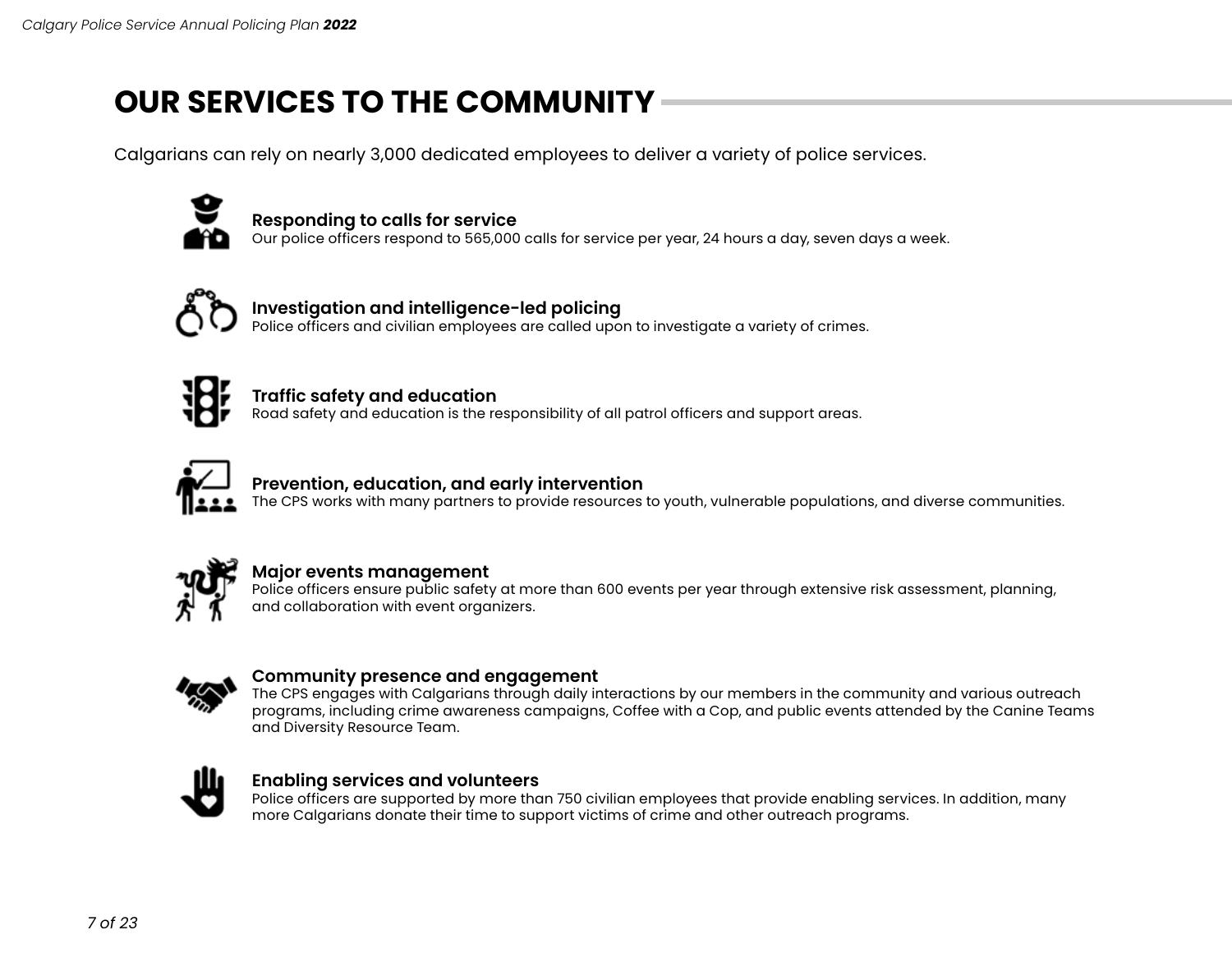# **OUR SERVICES TO THE COMMUNITY**

Calgarians can rely on nearly 3,000 dedicated employees to deliver a variety of police services.



**Responding to calls for service** Our police officers respond to 565,000 calls for service per year, 24 hours a day, seven days a week.



**Investigation and intelligence-led policing** Police officers and civilian employees are called upon to investigate a variety of crimes.



**Traffic safety and education** Road safety and education is the responsibility of all patrol officers and support areas.



# **Prevention, education, and early intervention**

The CPS works with many partners to provide resources to youth, vulnerable populations, and diverse communities.



## **Major events management**

Police officers ensure public safety at more than 600 events per year through extensive risk assessment, planning, and collaboration with event organizers.



#### **Community presence and engagement**

The CPS engages with Calgarians through daily interactions by our members in the community and various outreach programs, including crime awareness campaigns, Coffee with a Cop, and public events attended by the Canine Teams and Diversity Resource Team.



#### **Enabling services and volunteers**

Police officers are supported by more than 750 civilian employees that provide enabling services. In addition, many more Calgarians donate their time to support victims of crime and other outreach programs.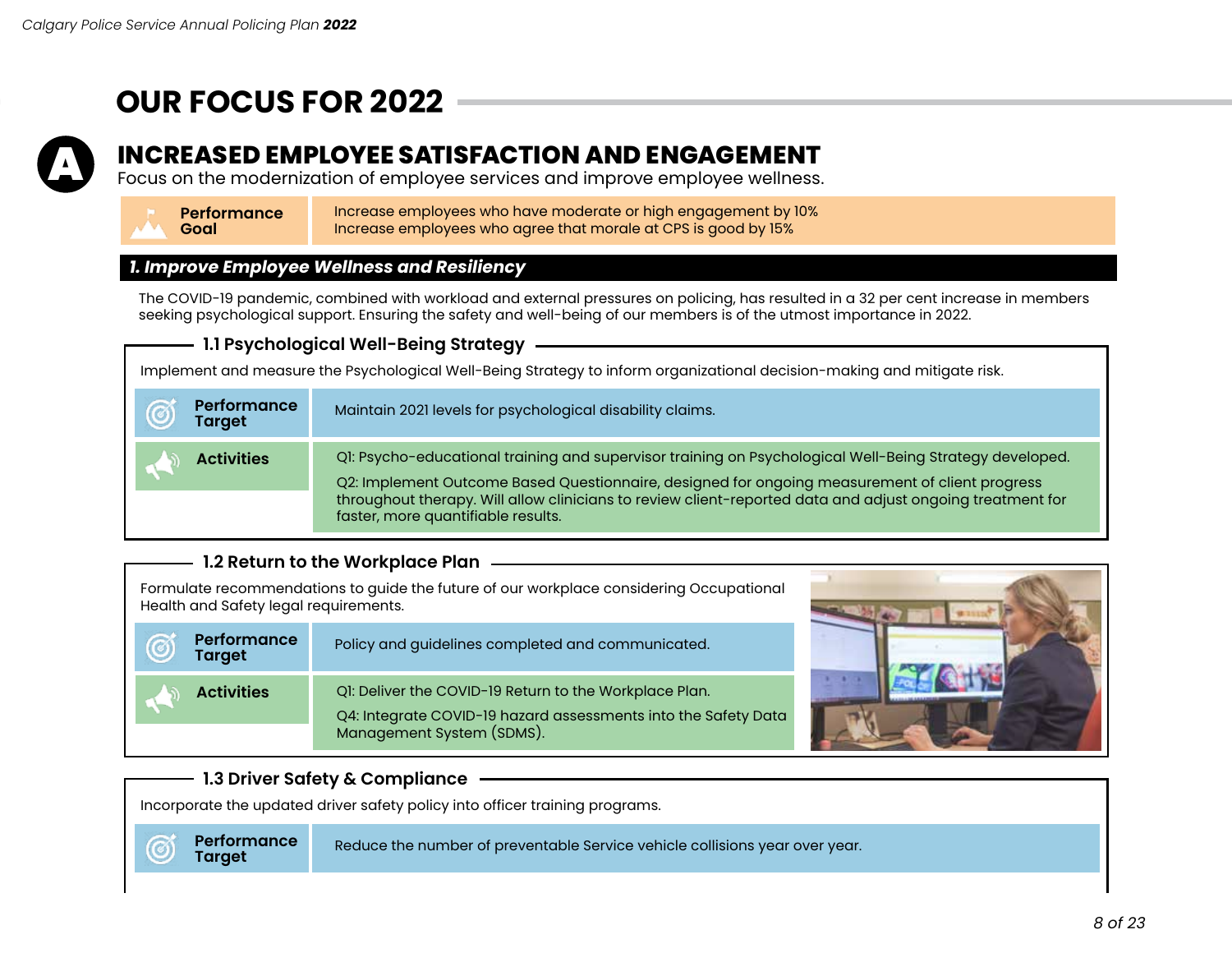# **OUR FOCUS FOR 2022**



# **INCREASED EMPLOYEE SATISFACTION AND ENGAGEMENT**<br>Focus on the modernization of employee services and improve employee wellness.



# *1. Improve Employee Wellness and Resiliency*

The COVID-19 pandemic, combined with workload and external pressures on policing, has resulted in a 32 per cent increase in members seeking psychological support. Ensuring the safety and well-being of our members is of the utmost importance in 2022.

|                              | 1.1 Psychological Well-Being Strategy                                                                                                                                                                                                                                                                                                                        |
|------------------------------|--------------------------------------------------------------------------------------------------------------------------------------------------------------------------------------------------------------------------------------------------------------------------------------------------------------------------------------------------------------|
|                              | Implement and measure the Psychological Well-Being Strategy to inform organizational decision-making and mitigate risk.                                                                                                                                                                                                                                      |
| <b>Performance</b><br>Target | Maintain 2021 levels for psychological disability claims.                                                                                                                                                                                                                                                                                                    |
| <b>Activities</b>            | QI: Psycho-educational training and supervisor training on Psychological Well-Being Strategy developed.<br>Q2: Implement Outcome Based Questionnaire, designed for ongoing measurement of client progress<br>throughout therapy. Will allow clinicians to review client-reported data and adjust ongoing treatment for<br>faster, more quantifiable results. |

## **1.2 Return to the Workplace Plan**

Formulate recommendations to guide the future of our workplace considering Occupational Health and Safety legal requirements.

| Performance<br><b>Target</b> | Policy and guidelines completed and communicated.                                                                                                     |  |
|------------------------------|-------------------------------------------------------------------------------------------------------------------------------------------------------|--|
| <b>Activities</b>            | QI: Deliver the COVID-19 Return to the Workplace Plan.<br>Q4: Integrate COVID-19 hazard assessments into the Safety Data<br>Management System (SDMS). |  |



# **1.3 Driver Safety & Compliance**

Incorporate the updated driver safety policy into officer training programs.



**Target** Reduce the number of preventable Service vehicle collisions year over year.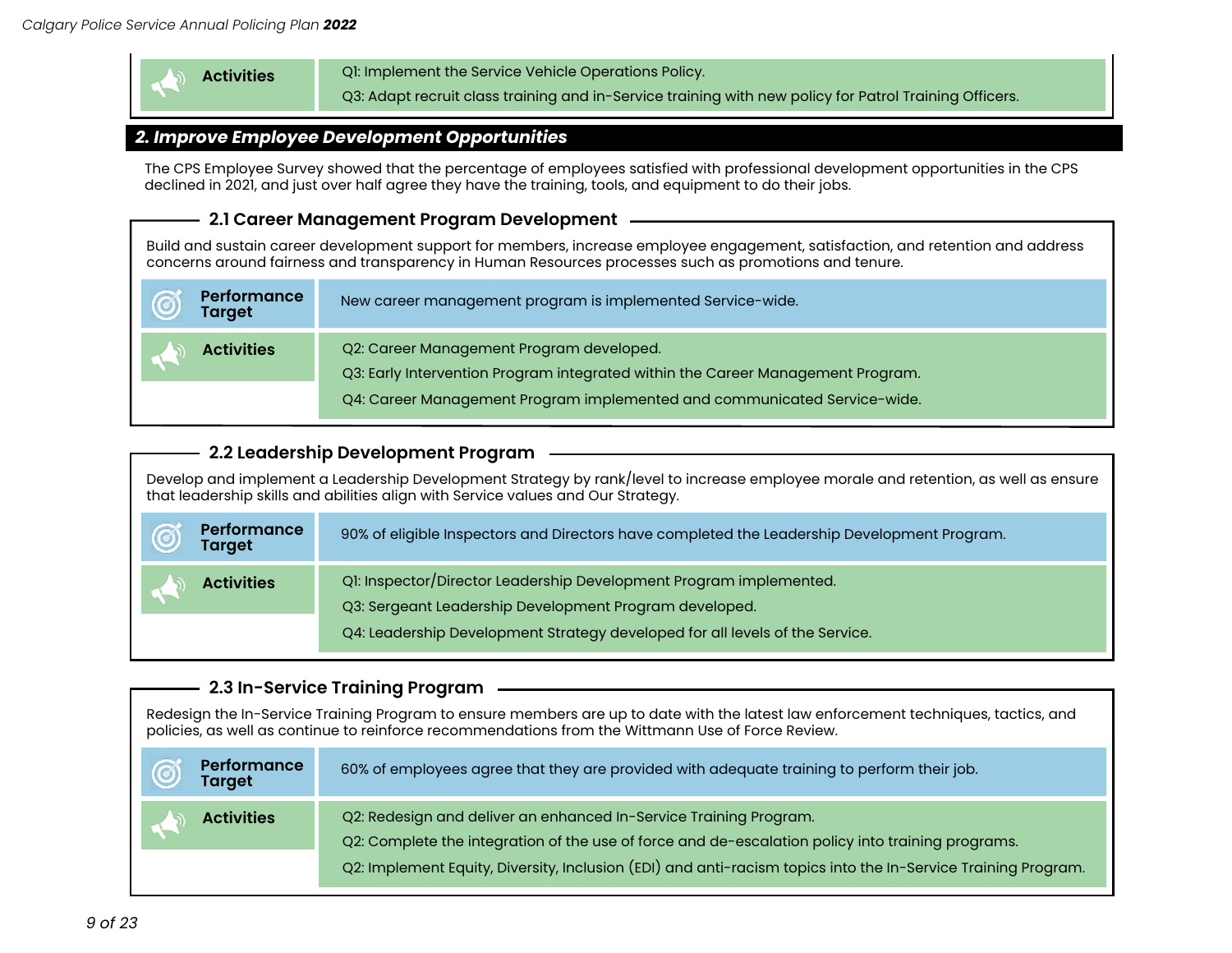

**Activities** Q1: Implement the Service Vehicle Operations Policy.

Q3: Adapt recruit class training and in-Service training with new policy for Patrol Training Officers.

## *2. Improve Employee Development Opportunities*

The CPS Employee Survey showed that the percentage of employees satisfied with professional development opportunities in the CPS declined in 2021, and just over half agree they have the training, tools, and equipment to do their jobs.

# **2.1 Career Management Program Development**

Build and sustain career development support for members, increase employee engagement, satisfaction, and retention and address concerns around fairness and transparency in Human Resources processes such as promotions and tenure.

| <b>Performance</b><br>$\copyright$<br><b>Target</b> | New career management program is implemented Service-wide.                                                                  |
|-----------------------------------------------------|-----------------------------------------------------------------------------------------------------------------------------|
| <b>Activities</b><br>لساما                          | Q2: Career Management Program developed.<br>Q3: Early Intervention Program integrated within the Career Management Program. |
|                                                     | Q4: Career Management Program implemented and communicated Service-wide.                                                    |

## **2.2 Leadership Development Program**

Develop and implement a Leadership Development Strategy by rank/level to increase employee morale and retention, as well as ensure that leadership skills and abilities align with Service values and Our Strategy.

| Performance<br>$\copyright$<br><b>Target</b> | 90% of eligible Inspectors and Directors have completed the Leadership Development Program.                                  |
|----------------------------------------------|------------------------------------------------------------------------------------------------------------------------------|
| <b>Activities</b><br>$\mathbf{L}$            | QI: Inspector/Director Leadership Development Program implemented.<br>Q3: Sergeant Leadership Development Program developed. |
|                                              | Q4: Leadership Development Strategy developed for all levels of the Service.                                                 |

# **2.3 In-Service Training Program**

Redesign the In-Service Training Program to ensure members are up to date with the latest law enforcement techniques, tactics, and policies, as well as continue to reinforce recommendations from the Wittmann Use of Force Review.

| <b>Performance</b><br>$\odot$<br><b>Target</b> | 60% of employees agree that they are provided with adequate training to perform their job.                                                                                                                                                                                              |
|------------------------------------------------|-----------------------------------------------------------------------------------------------------------------------------------------------------------------------------------------------------------------------------------------------------------------------------------------|
| <b>Activities</b>                              | Q2: Redesign and deliver an enhanced In-Service Training Program.<br>Q2: Complete the integration of the use of force and de-escalation policy into training programs.<br>Q2: Implement Equity, Diversity, Inclusion (EDI) and anti-racism topics into the In-Service Training Program. |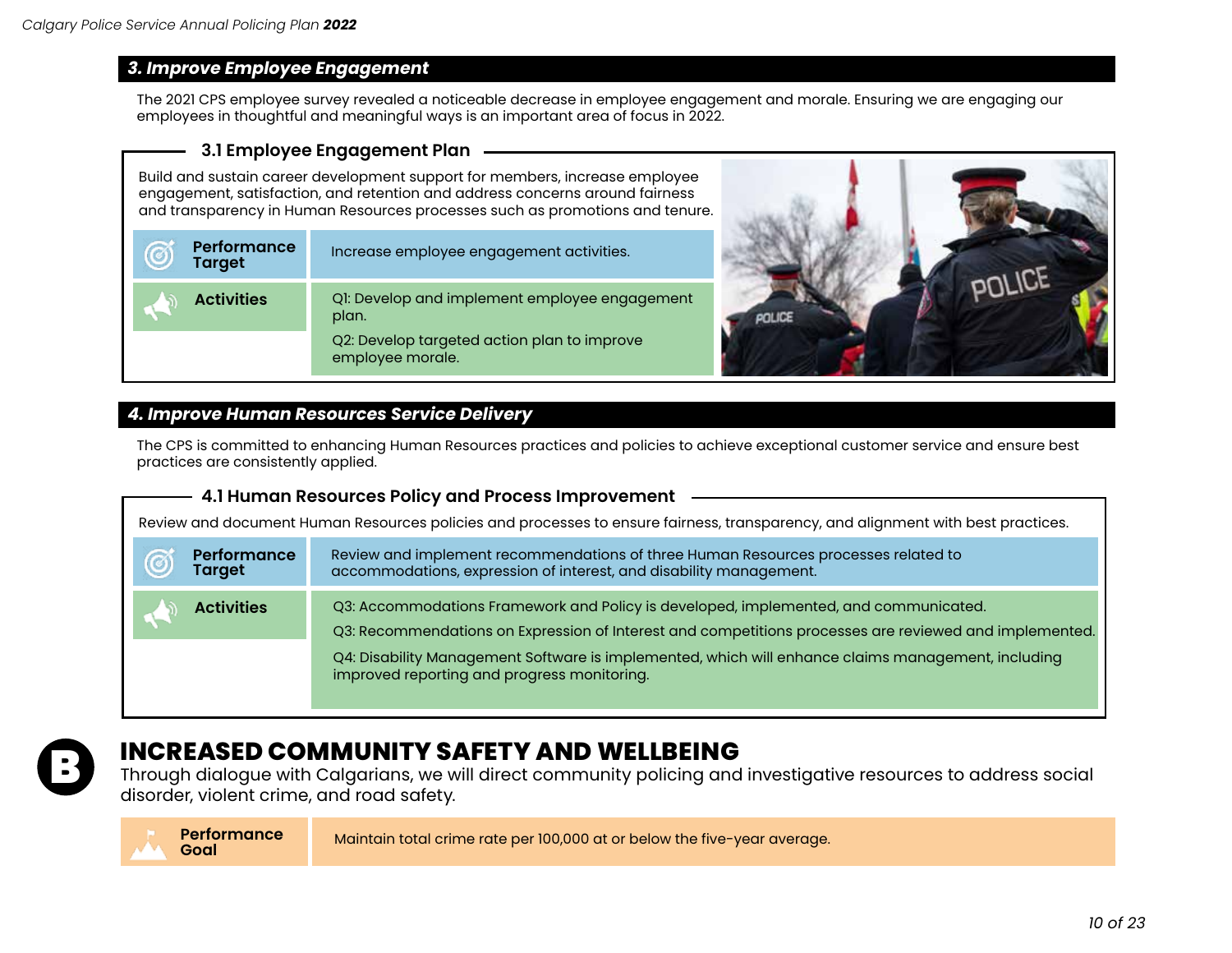## *3. Improve Employee Engagement*

The 2021 CPS employee survey revealed a noticeable decrease in employee engagement and morale. Ensuring we are engaging our employees in thoughtful and meaningful ways is an important area of focus in 2022.

#### **3.1 Employee Engagement Plan**

Build and sustain career development support for members, increase employee engagement, satisfaction, and retention and address concerns around fairness and transparency in Human Resources processes such as promotions and tenure.

| <b>Performance</b><br><b>Target</b> | Increase employee engagement activities.                        |              |  |
|-------------------------------------|-----------------------------------------------------------------|--------------|--|
| <b>Activities</b>                   | QI: Develop and implement employee engagement<br>plan.          | <b>ILICE</b> |  |
|                                     | Q2: Develop targeted action plan to improve<br>employee morale. |              |  |

## *4. Improve Human Resources Service Delivery*

The CPS is committed to enhancing Human Resources practices and policies to achieve exceptional customer service and ensure best practices are consistently applied.

#### **4.1 Human Resources Policy and Process Improvement**

Review and document Human Resources policies and processes to ensure fairness, transparency, and alignment with best practices.

| <b>Performance</b> | Review and implement recommendations of three Human Resources processes related to                                                                                                                                                                                                                                                                  |
|--------------------|-----------------------------------------------------------------------------------------------------------------------------------------------------------------------------------------------------------------------------------------------------------------------------------------------------------------------------------------------------|
| <b>Target</b>      | accommodations, expression of interest, and disability management.                                                                                                                                                                                                                                                                                  |
| <b>Activities</b>  | Q3: Accommodations Framework and Policy is developed, implemented, and communicated.<br>Q3: Recommendations on Expression of Interest and competitions processes are reviewed and implemented.<br>Q4: Disability Management Software is implemented, which will enhance claims management, including<br>improved reporting and progress monitoring. |



# **INCREASED COMMUNITY SAFETY AND WELLBEING**

Through dialogue with Calgarians, we will direct community policing and investigative resources to address social disorder, violent crime, and road safety.



**Goal** Maintain total crime rate per 100,000 at or below the five-year average.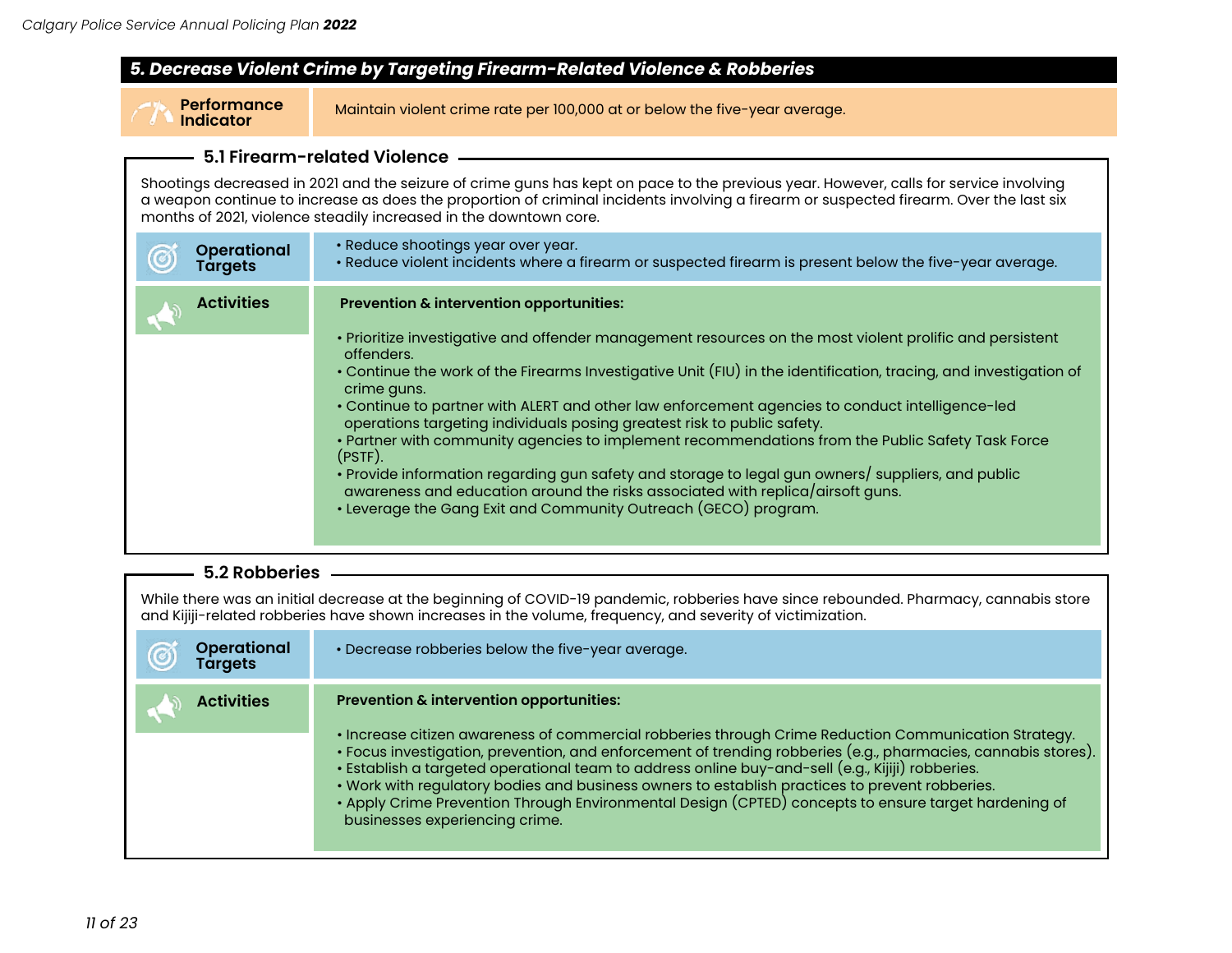## *5. Decrease Violent Crime by Targeting Firearm-Related Violence & Robberies*



Maintain violent crime rate per 100,000 at or below the five-year average.

#### **5.1 Firearm-related Violence**

Shootings decreased in 2021 and the seizure of crime guns has kept on pace to the previous year. However, calls for service involving a weapon continue to increase as does the proportion of criminal incidents involving a firearm or suspected firearm. Over the last six months of 2021, violence steadily increased in the downtown core.

| <b>Operational</b> | • Reduce shootings year over year.                                                                                                                                                                                                                                                                                                                                                                                                                                                                                                                                                                                                                                                                                                                                                                                                                               |
|--------------------|------------------------------------------------------------------------------------------------------------------------------------------------------------------------------------------------------------------------------------------------------------------------------------------------------------------------------------------------------------------------------------------------------------------------------------------------------------------------------------------------------------------------------------------------------------------------------------------------------------------------------------------------------------------------------------------------------------------------------------------------------------------------------------------------------------------------------------------------------------------|
| <b>Targets</b>     | • Reduce violent incidents where a firearm or suspected firearm is present below the five-year average.                                                                                                                                                                                                                                                                                                                                                                                                                                                                                                                                                                                                                                                                                                                                                          |
| <b>Activities</b>  | Prevention & intervention opportunities:<br>• Prioritize investigative and offender management resources on the most violent prolific and persistent<br>offenders.<br>• Continue the work of the Firearms Investigative Unit (FIU) in the identification, tracing, and investigation of<br>crime guns.<br>• Continue to partner with ALERT and other law enforcement agencies to conduct intelligence-led<br>operations targeting individuals posing greatest risk to public safety.<br>• Partner with community agencies to implement recommendations from the Public Safety Task Force<br>$(PSTF)$ .<br>• Provide information regarding gun safety and storage to legal gun owners/ suppliers, and public<br>awareness and education around the risks associated with replica/airsoft guns.<br>• Leverage the Gang Exit and Community Outreach (GECO) program. |

## **5.2 Robberies**

While there was an initial decrease at the beginning of COVID-19 pandemic, robberies have since rebounded. Pharmacy, cannabis store and Kijiji-related robberies have shown increases in the volume, frequency, and severity of victimization.

| <b>Operational</b><br>Targets | • Decrease robberies below the five-year average.                                                                                                                                                                                                                                                                                                                                                                                                                                                                                                                                                                 |
|-------------------------------|-------------------------------------------------------------------------------------------------------------------------------------------------------------------------------------------------------------------------------------------------------------------------------------------------------------------------------------------------------------------------------------------------------------------------------------------------------------------------------------------------------------------------------------------------------------------------------------------------------------------|
| <b>Activities</b>             | Prevention & intervention opportunities:<br>· Increase citizen awareness of commercial robberies through Crime Reduction Communication Strategy.<br>• Focus investigation, prevention, and enforcement of trending robberies (e.g., pharmacies, cannabis stores).<br>· Establish a targeted operational team to address online buy-and-sell (e.g., Kijiji) robberies.<br>. Work with regulatory bodies and business owners to establish practices to prevent robberies.<br>• Apply Crime Prevention Through Environmental Design (CPTED) concepts to ensure target hardening of<br>businesses experiencing crime. |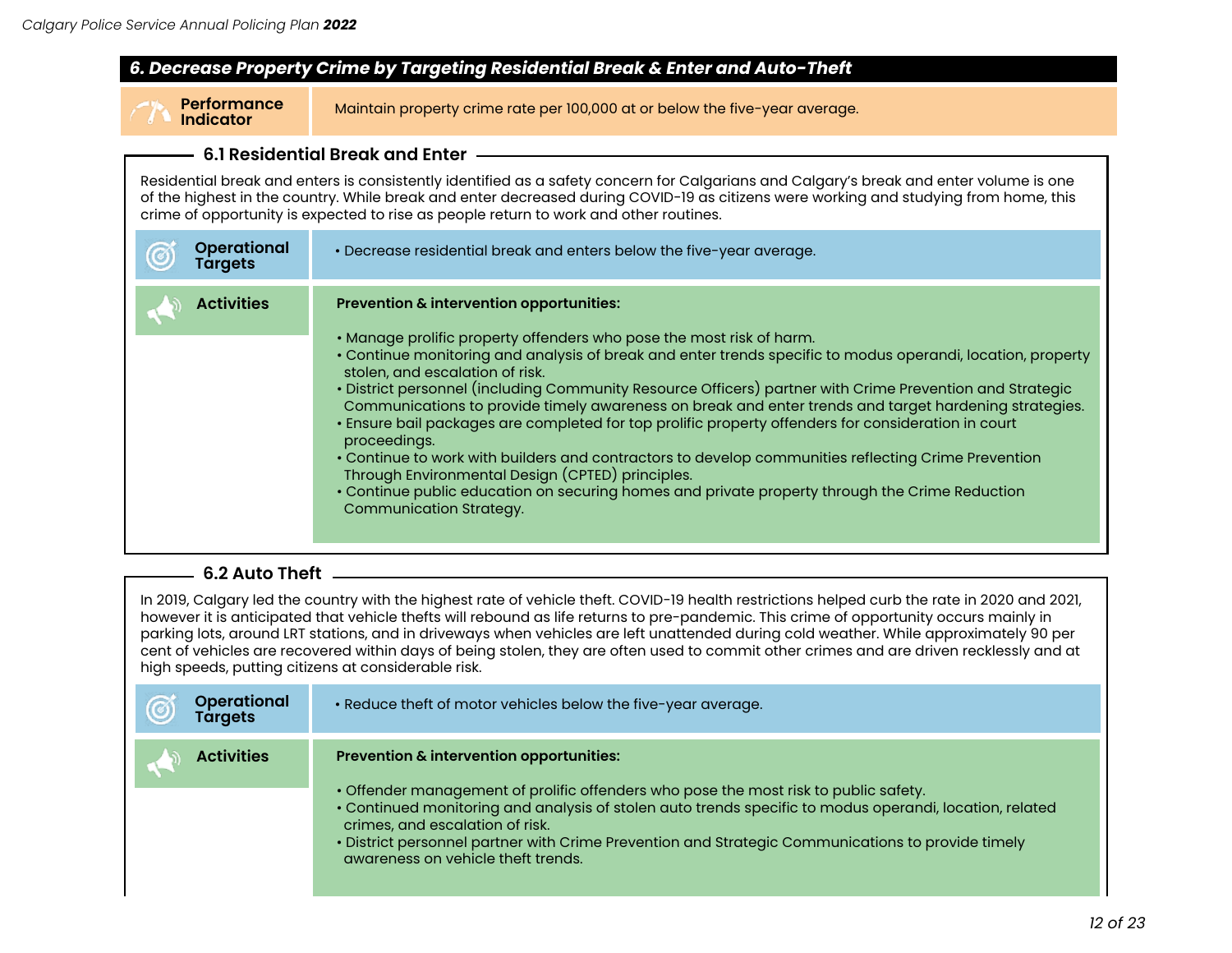#### *6. Decrease Property Crime by Targeting Residential Break & Enter and Auto-Theft*



Maintain property crime rate per 100,000 at or below the five-year average.

#### **6.1 Residential Break and Enter**

Residential break and enters is consistently identified as a safety concern for Calgarians and Calgary's break and enter volume is one of the highest in the country. While break and enter decreased during COVID-19 as citizens were working and studying from home, this crime of opportunity is expected to rise as people return to work and other routines.

| <b>Operational</b><br><b>Targets</b> | • Decrease residential break and enters below the five-year average.                                                                                                                                                                                                                                                                                                                                                                                                                                                                                                                                                                                                                                                                                                                                                                                                                                   |
|--------------------------------------|--------------------------------------------------------------------------------------------------------------------------------------------------------------------------------------------------------------------------------------------------------------------------------------------------------------------------------------------------------------------------------------------------------------------------------------------------------------------------------------------------------------------------------------------------------------------------------------------------------------------------------------------------------------------------------------------------------------------------------------------------------------------------------------------------------------------------------------------------------------------------------------------------------|
| <b>Activities</b>                    | Prevention & intervention opportunities:<br>. Manage prolific property offenders who pose the most risk of harm.<br>• Continue monitoring and analysis of break and enter trends specific to modus operandi, location, property<br>stolen, and escalation of risk.<br>. District personnel (including Community Resource Officers) partner with Crime Prevention and Strategic<br>Communications to provide timely awareness on break and enter trends and target hardening strategies.<br>. Ensure bail packages are completed for top prolific property offenders for consideration in court<br>proceedings.<br>• Continue to work with builders and contractors to develop communities reflecting Crime Prevention<br>Through Environmental Design (CPTED) principles.<br>• Continue public education on securing homes and private property through the Crime Reduction<br>Communication Strategy. |

## **6.2 Auto Theft**

In 2019, Calgary led the country with the highest rate of vehicle theft. COVID-19 health restrictions helped curb the rate in 2020 and 2021, however it is anticipated that vehicle thefts will rebound as life returns to pre-pandemic. This crime of opportunity occurs mainly in parking lots, around LRT stations, and in driveways when vehicles are left unattended during cold weather. While approximately 90 per cent of vehicles are recovered within days of being stolen, they are often used to commit other crimes and are driven recklessly and at high speeds, putting citizens at considerable risk.

| <b>Operational</b><br>Targets | • Reduce theft of motor vehicles below the five-year average.                                                                                                                                                                                                                                                                                                                                                                        |
|-------------------------------|--------------------------------------------------------------------------------------------------------------------------------------------------------------------------------------------------------------------------------------------------------------------------------------------------------------------------------------------------------------------------------------------------------------------------------------|
| <b>Activities</b>             | <b>Prevention &amp; intervention opportunities:</b><br>• Offender management of prolific offenders who pose the most risk to public safety.<br>• Continued monitoring and analysis of stolen auto trends specific to modus operandi, location, related<br>crimes, and escalation of risk.<br>• District personnel partner with Crime Prevention and Strategic Communications to provide timely<br>awareness on vehicle theft trends. |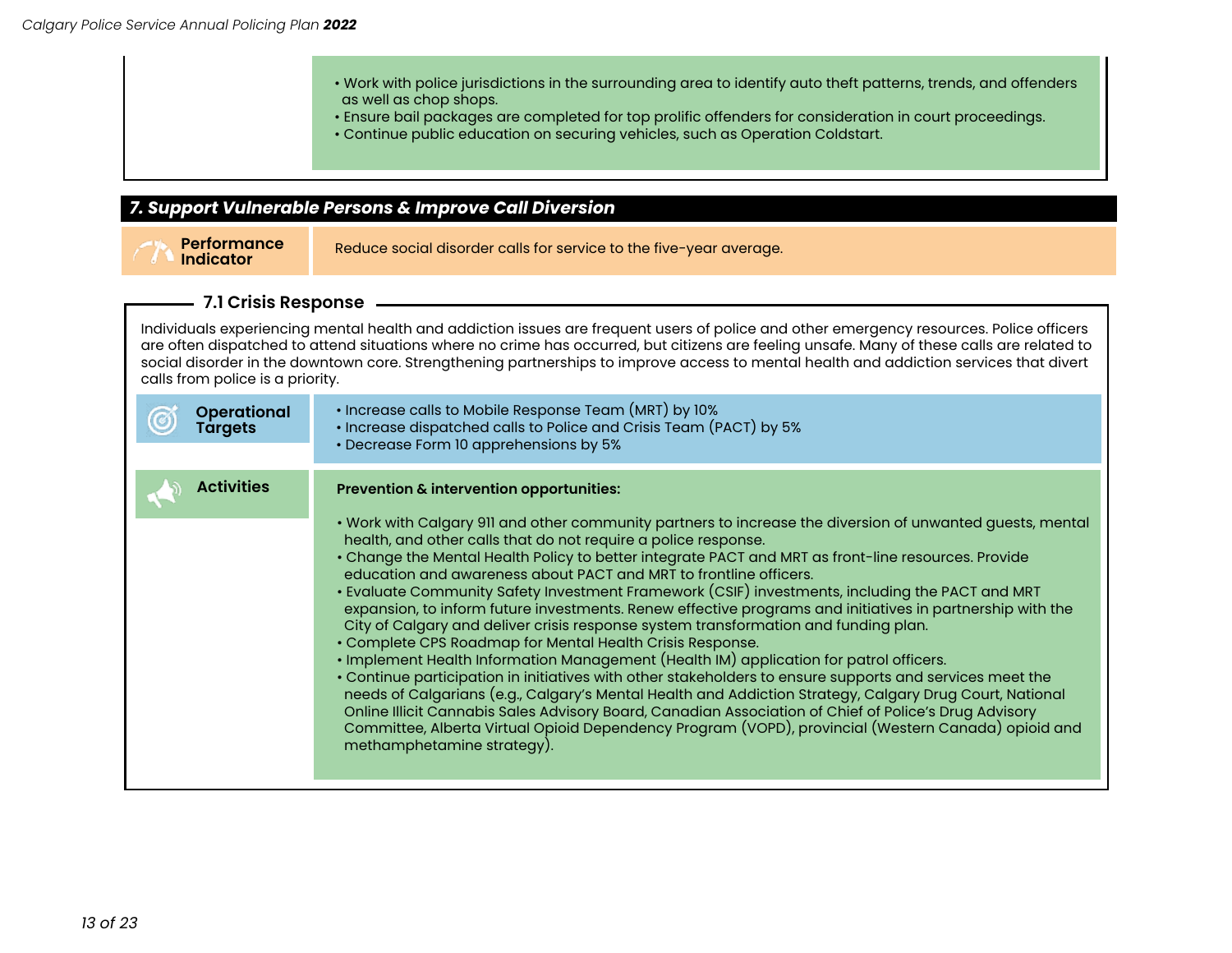|                                      | . Work with police jurisdictions in the surrounding area to identify auto theft patterns, trends, and offenders<br>as well as chop shops.<br>· Ensure bail packages are completed for top prolific offenders for consideration in court proceedings.<br>• Continue public education on securing vehicles, such as Operation Coldstart.<br>7. Support Vulnerable Persons & Improve Call Diversion                                                                                                                                                                                                                                                                                                                                                                                                                                                                                                                                                                                                                                                                                                                                                                                                                                                                                                                                       |
|--------------------------------------|----------------------------------------------------------------------------------------------------------------------------------------------------------------------------------------------------------------------------------------------------------------------------------------------------------------------------------------------------------------------------------------------------------------------------------------------------------------------------------------------------------------------------------------------------------------------------------------------------------------------------------------------------------------------------------------------------------------------------------------------------------------------------------------------------------------------------------------------------------------------------------------------------------------------------------------------------------------------------------------------------------------------------------------------------------------------------------------------------------------------------------------------------------------------------------------------------------------------------------------------------------------------------------------------------------------------------------------|
| <b>Performance</b><br>Indicator      | Reduce social disorder calls for service to the five-year average.                                                                                                                                                                                                                                                                                                                                                                                                                                                                                                                                                                                                                                                                                                                                                                                                                                                                                                                                                                                                                                                                                                                                                                                                                                                                     |
| - 7.1 Crisis Response                |                                                                                                                                                                                                                                                                                                                                                                                                                                                                                                                                                                                                                                                                                                                                                                                                                                                                                                                                                                                                                                                                                                                                                                                                                                                                                                                                        |
| calls from police is a priority.     | Individuals experiencing mental health and addiction issues are frequent users of police and other emergency resources. Police officers<br>are often dispatched to attend situations where no crime has occurred, but citizens are feeling unsafe. Many of these calls are related to<br>social disorder in the downtown core. Strengthening partnerships to improve access to mental health and addiction services that divert                                                                                                                                                                                                                                                                                                                                                                                                                                                                                                                                                                                                                                                                                                                                                                                                                                                                                                        |
| <b>Operational</b><br><b>Targets</b> | • Increase calls to Mobile Response Team (MRT) by 10%<br>• Increase dispatched calls to Police and Crisis Team (PACT) by 5%<br>• Decrease Form 10 apprehensions by 5%                                                                                                                                                                                                                                                                                                                                                                                                                                                                                                                                                                                                                                                                                                                                                                                                                                                                                                                                                                                                                                                                                                                                                                  |
| <b>Activities</b>                    | Prevention & intervention opportunities:<br>. Work with Calgary 911 and other community partners to increase the diversion of unwanted guests, mental<br>health, and other calls that do not require a police response.<br>• Change the Mental Health Policy to better integrate PACT and MRT as front-line resources. Provide<br>education and awareness about PACT and MRT to frontline officers.<br>. Evaluate Community Safety Investment Framework (CSIF) investments, including the PACT and MRT<br>expansion, to inform future investments. Renew effective programs and initiatives in partnership with the<br>City of Calgary and deliver crisis response system transformation and funding plan.<br>• Complete CPS Roadmap for Mental Health Crisis Response.<br>• Implement Health Information Management (Health IM) application for patrol officers.<br>• Continue participation in initiatives with other stakeholders to ensure supports and services meet the<br>needs of Calgarians (e.g., Calgary's Mental Health and Addiction Strategy, Calgary Drug Court, National<br>Online Illicit Cannabis Sales Advisory Board, Canadian Association of Chief of Police's Drug Advisory<br>Committee, Alberta Virtual Opioid Dependency Program (VOPD), provincial (Western Canada) opioid and<br>methamphetamine strategy). |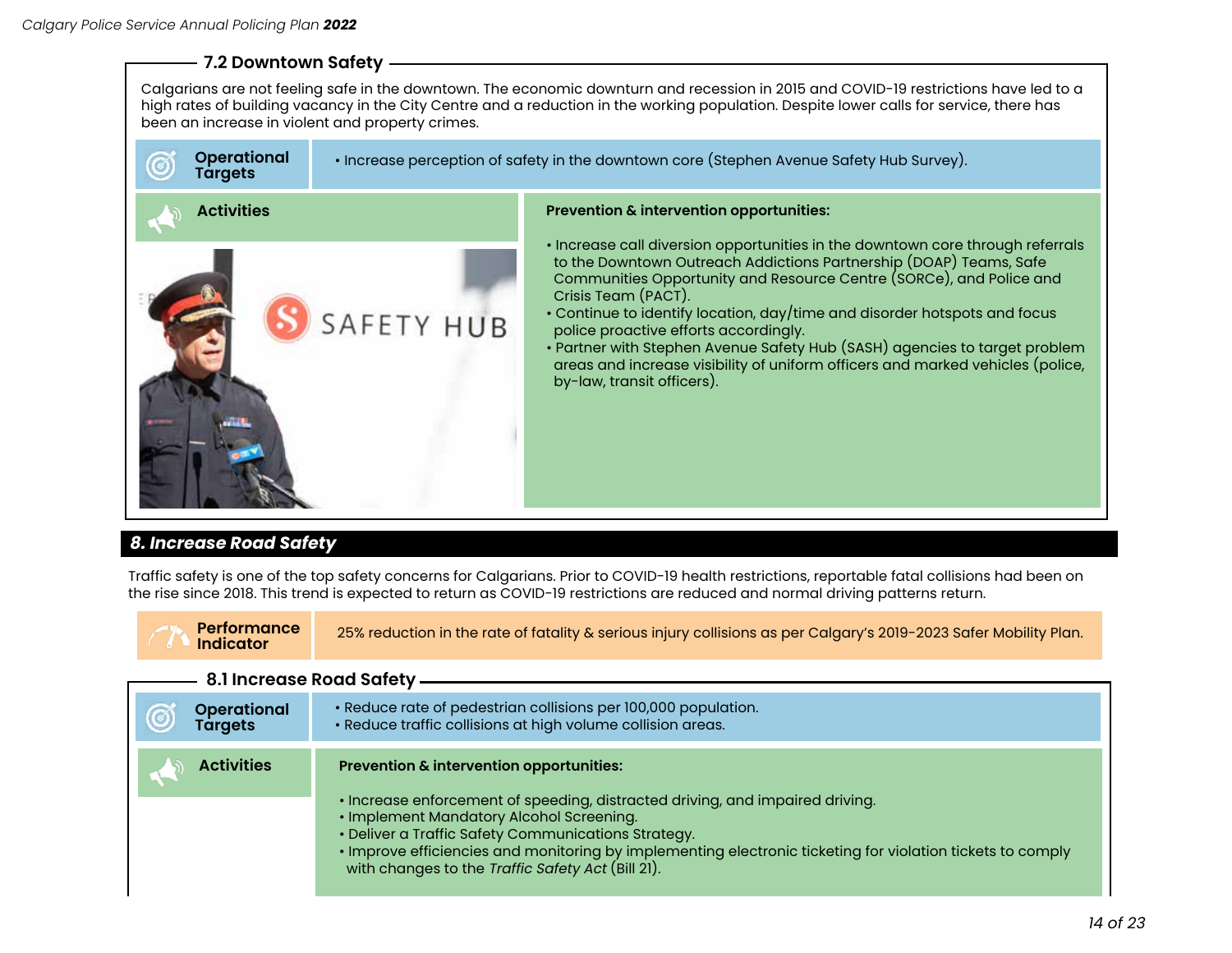#### **7.2 Downtown Safety**

Calgarians are not feeling safe in the downtown. The economic downturn and recession in 2015 and COVID-19 restrictions have led to a high rates of building vacancy in the City Centre and a reduction in the working population. Despite lower calls for service, there has been an increase in violent and property crimes.

**Operational** O

**Targets** • Increase perception of safety in the downtown core (Stephen Avenue Safety Hub Survey).



#### **Activities Prevention & intervention opportunities:**

- Increase call diversion opportunities in the downtown core through referrals to the Downtown Outreach Addictions Partnership (DOAP) Teams, Safe Communities Opportunity and Resource Centre (SORCe), and Police and Crisis Team (PACT).
- Continue to identify location, day/time and disorder hotspots and focus police proactive efforts accordingly.
- Partner with Stephen Avenue Safety Hub (SASH) agencies to target problem areas and increase visibility of uniform officers and marked vehicles (police, by-law, transit officers).

# *8. Increase Road Safety*

Traffic safety is one of the top safety concerns for Calgarians. Prior to COVID-19 health restrictions, reportable fatal collisions had been on the rise since 2018. This trend is expected to return as COVID-19 restrictions are reduced and normal driving patterns return.

| <b>Performance</b><br>Indicator      | 25% reduction in the rate of fatality & serious injury collisions as per Calgary's 2019-2023 Safer Mobility Plan.                                                                                                                                                                                                                                                                               |  |  |
|--------------------------------------|-------------------------------------------------------------------------------------------------------------------------------------------------------------------------------------------------------------------------------------------------------------------------------------------------------------------------------------------------------------------------------------------------|--|--|
| 8.1 Increase Road Safety -           |                                                                                                                                                                                                                                                                                                                                                                                                 |  |  |
| <b>Operational</b><br><b>Targets</b> | • Reduce rate of pedestrian collisions per 100,000 population.<br>· Reduce traffic collisions at high volume collision areas.                                                                                                                                                                                                                                                                   |  |  |
| <b>Activities</b>                    | Prevention & intervention opportunities:<br>· Increase enforcement of speeding, distracted driving, and impaired driving.<br>• Implement Mandatory Alcohol Screening.<br>• Deliver a Traffic Safety Communications Strategy.<br>. Improve efficiencies and monitoring by implementing electronic ticketing for violation tickets to comply<br>with changes to the Traffic Safety Act (Bill 21). |  |  |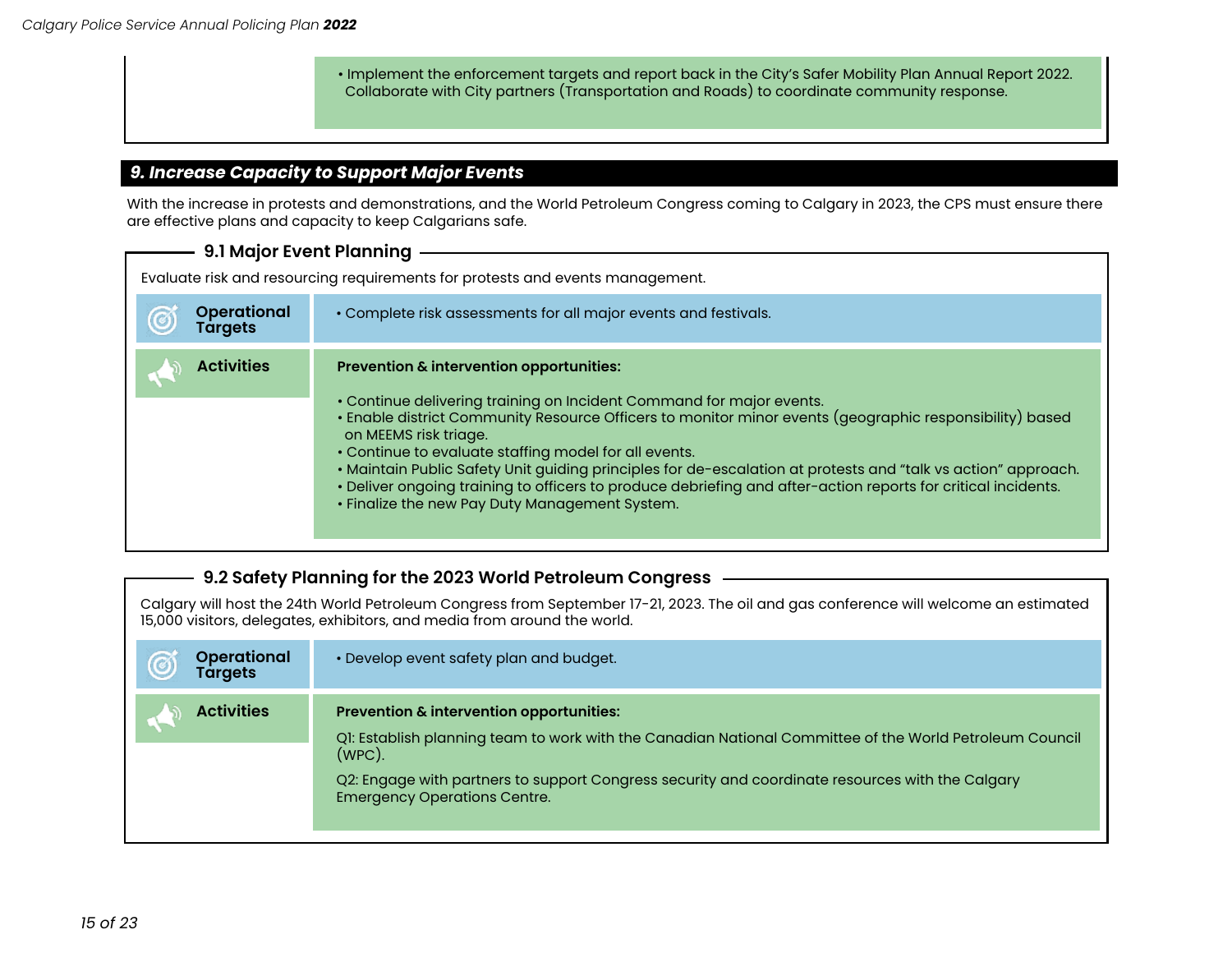• Implement the enforcement targets and report back in the City's Safer Mobility Plan Annual Report 2022. Collaborate with City partners (Transportation and Roads) to coordinate community response.

# *9. Increase Capacity to Support Major Events*

With the increase in protests and demonstrations, and the World Petroleum Congress coming to Calgary in 2023, the CPS must ensure there are effective plans and capacity to keep Calgarians safe.

| 9.1 Major Event Planning                                                                                                                                                                                                                                                                                                                                                                                                                                                                                                                                                                          |  |  |
|---------------------------------------------------------------------------------------------------------------------------------------------------------------------------------------------------------------------------------------------------------------------------------------------------------------------------------------------------------------------------------------------------------------------------------------------------------------------------------------------------------------------------------------------------------------------------------------------------|--|--|
| Evaluate risk and resourcing requirements for protests and events management.                                                                                                                                                                                                                                                                                                                                                                                                                                                                                                                     |  |  |
| • Complete risk assessments for all major events and festivals.                                                                                                                                                                                                                                                                                                                                                                                                                                                                                                                                   |  |  |
| Prevention & intervention opportunities:<br>• Continue delivering training on Incident Command for major events.<br>• Enable district Community Resource Officers to monitor minor events (geographic responsibility) based<br>on MEEMS risk triage.<br>• Continue to evaluate staffing model for all events.<br>· Maintain Public Safety Unit guiding principles for de-escalation at protests and "talk vs action" approach.<br>• Deliver ongoing training to officers to produce debriefing and after-action reports for critical incidents.<br>• Finalize the new Pay Duty Management System. |  |  |
|                                                                                                                                                                                                                                                                                                                                                                                                                                                                                                                                                                                                   |  |  |

## **9.2 Safety Planning for the 2023 World Petroleum Congress**

Calgary will host the 24th World Petroleum Congress from September 17-21, 2023. The oil and gas conference will welcome an estimated 15,000 visitors, delegates, exhibitors, and media from around the world.

| <b>Operational</b><br>Targets | • Develop event safety plan and budget.                                                                                                                                                                                                                                                                 |
|-------------------------------|---------------------------------------------------------------------------------------------------------------------------------------------------------------------------------------------------------------------------------------------------------------------------------------------------------|
| <b>Activities</b>             | Prevention & intervention opportunities:<br>Q!: Establish planning team to work with the Canadian National Committee of the World Petroleum Council<br>(WPC).<br>Q2: Engage with partners to support Congress security and coordinate resources with the Calgary<br><b>Emergency Operations Centre.</b> |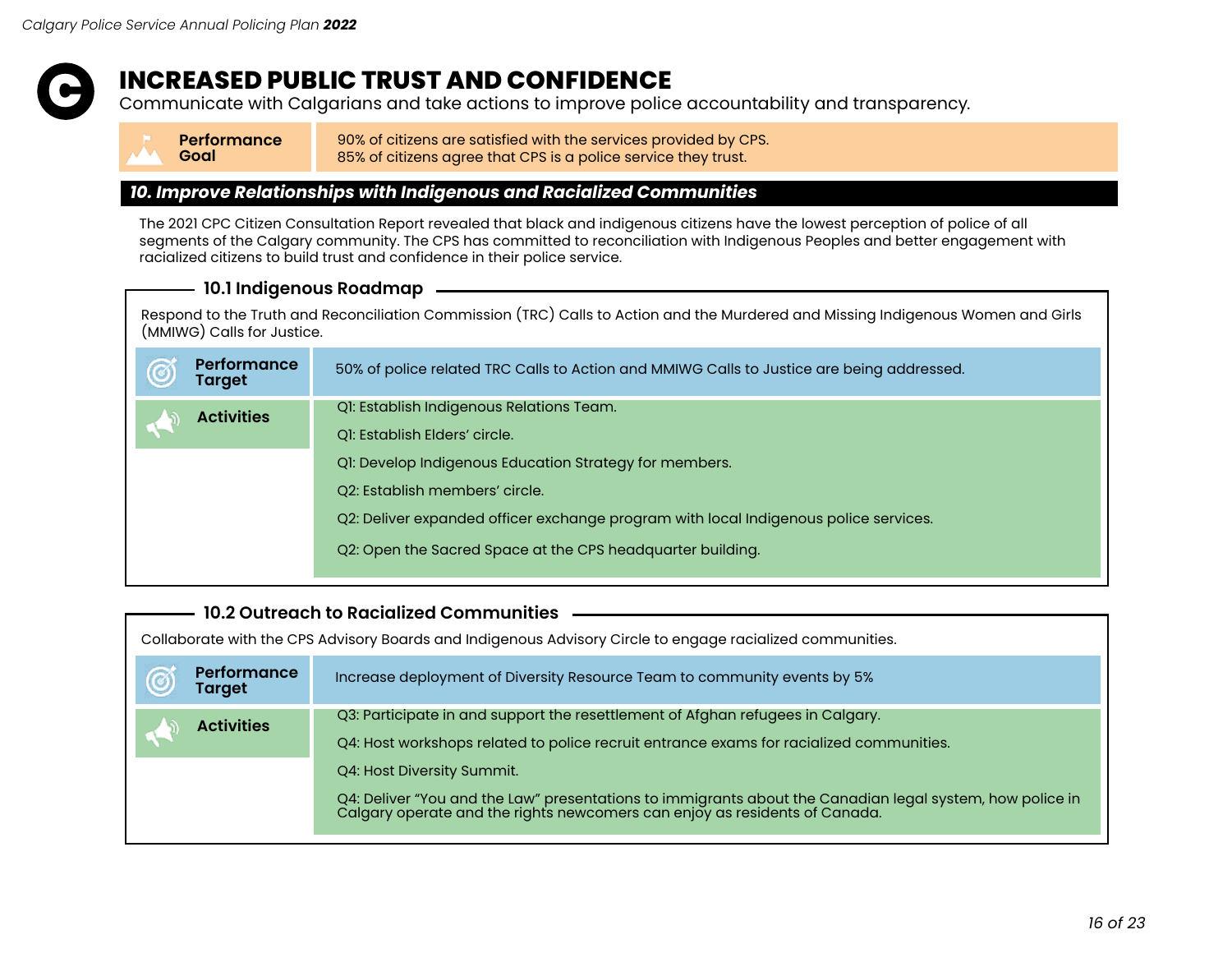

# **INCREASED PUBLIC TRUST AND CONFIDENCE**

Communicate with Calgarians and take actions to improve police accountability and transparency.

| <b>Performance</b> | 90% of citizens are satisfied with the services provided by CPS. |
|--------------------|------------------------------------------------------------------|
| Goal               | 85% of citizens agree that CPS is a police service they trust.   |

#### *10. Improve Relationships with Indigenous and Racialized Communities*

The 2021 CPC Citizen Consultation Report revealed that black and indigenous citizens have the lowest perception of police of all segments of the Calgary community. The CPS has committed to reconciliation with Indigenous Peoples and better engagement with racialized citizens to build trust and confidence in their police service.

#### **10.1 Indigenous Roadmap**

Respond to the Truth and Reconciliation Commission (TRC) Calls to Action and the Murdered and Missing Indigenous Women and Girls (MMIWG) Calls for Justice.

| <b>Performance</b><br><b>Target</b> | 50% of police related TRC Calls to Action and MMIWG Calls to Justice are being addressed. |
|-------------------------------------|-------------------------------------------------------------------------------------------|
| <b>Activities</b>                   | QI: Establish Indigenous Relations Team.                                                  |
|                                     | QI: Establish Elders' circle.                                                             |
|                                     | QI: Develop Indigenous Education Strategy for members.                                    |
|                                     | Q2: Establish members' circle.                                                            |
|                                     | Q2: Deliver expanded officer exchange program with local Indigenous police services.      |
|                                     | Q2: Open the Sacred Space at the CPS headquarter building.                                |
|                                     |                                                                                           |

## **10.2 Outreach to Racialized Communities**

Collaborate with the CPS Advisory Boards and Indigenous Advisory Circle to engage racialized communities.

| <b>Performance</b><br><b>Target</b> | Increase deployment of Diversity Resource Team to community events by 5%                                                                                                               |  |  |
|-------------------------------------|----------------------------------------------------------------------------------------------------------------------------------------------------------------------------------------|--|--|
| <b>Activities</b><br>F              | Q3: Participate in and support the resettlement of Afghan refugees in Calgary.                                                                                                         |  |  |
|                                     | Q4: Host workshops related to police recruit entrance exams for racialized communities.                                                                                                |  |  |
|                                     | Q4: Host Diversity Summit.                                                                                                                                                             |  |  |
|                                     | Q4: Deliver "You and the Law" presentations to immigrants about the Canadian legal system, how police in<br>Calgary operate and the rights newcomers can enjoy as residents of Canada. |  |  |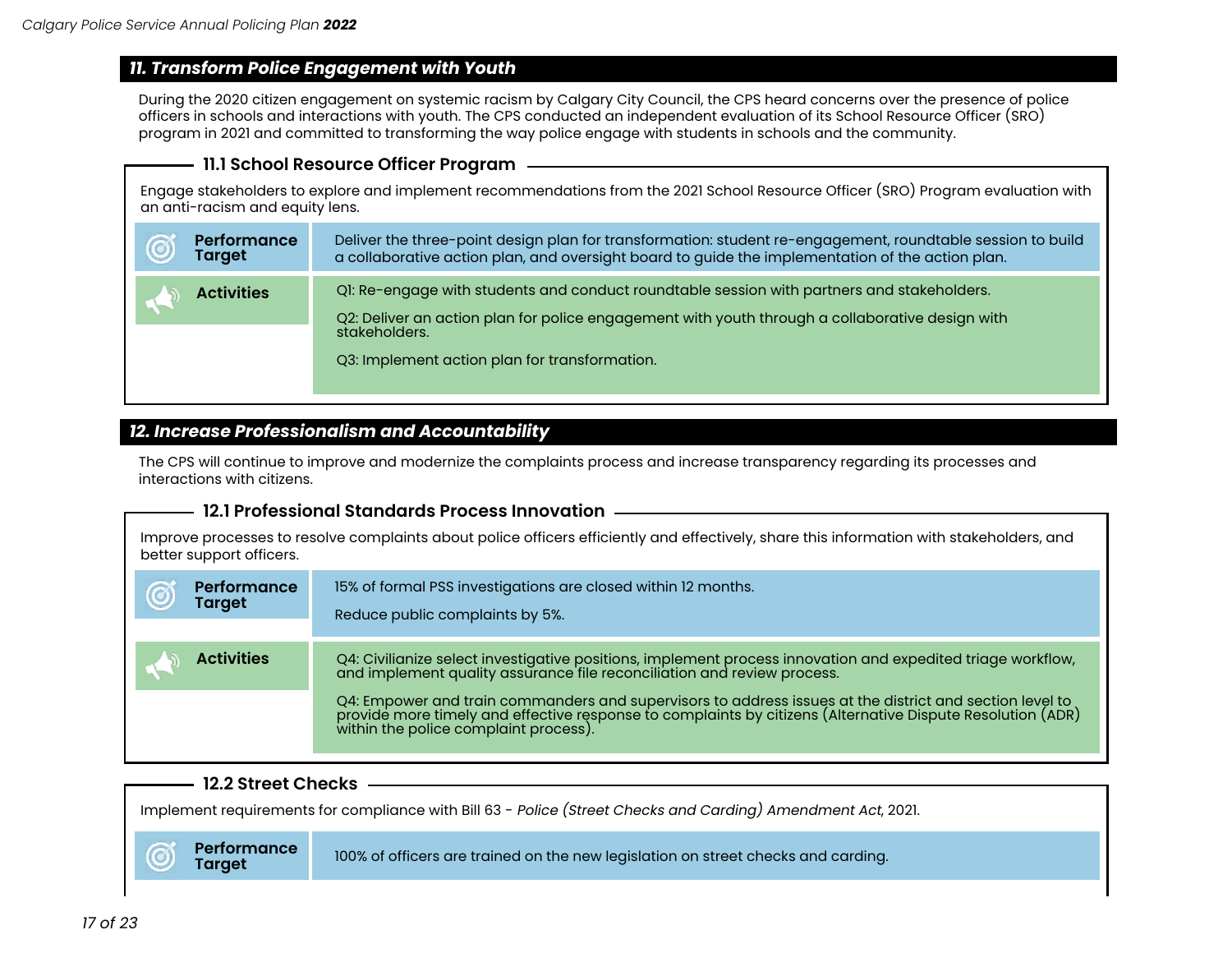#### *11. Transform Police Engagement with Youth*

During the 2020 citizen engagement on systemic racism by Calgary City Council, the CPS heard concerns over the presence of police officers in schools and interactions with youth. The CPS conducted an independent evaluation of its School Resource Officer (SRO) program in 2021 and committed to transforming the way police engage with students in schools and the community.

#### **11.1 School Resource Officer Program**

Engage stakeholders to explore and implement recommendations from the 2021 School Resource Officer (SRO) Program evaluation with an anti-racism and equity lens.

| <b>Performance</b>         | Deliver the three-point design plan for transformation: student re-engagement, roundtable session to build                                                                                                                                                      |  |
|----------------------------|-----------------------------------------------------------------------------------------------------------------------------------------------------------------------------------------------------------------------------------------------------------------|--|
| <b>Target</b>              | a collaborative action plan, and oversight board to guide the implementation of the action plan.                                                                                                                                                                |  |
| <b>Activities</b><br>لسابر | QI: Re-engage with students and conduct roundtable session with partners and stakeholders.<br>Q2: Deliver an action plan for police engagement with youth through a collaborative design with<br>stakeholders.<br>Q3: Implement action plan for transformation. |  |

#### *12. Increase Professionalism and Accountability*

The CPS will continue to improve and modernize the complaints process and increase transparency regarding its processes and interactions with citizens.

#### **12.1 Professional Standards Process Innovation**

Improve processes to resolve complaints about police officers efficiently and effectively, share this information with stakeholders, and better support officers.

| Performance<br>$\circledcirc$<br><b>Target</b> | 15% of formal PSS investigations are closed within 12 months.<br>Reduce public complaints by 5%.                                                                                                                                                               |
|------------------------------------------------|----------------------------------------------------------------------------------------------------------------------------------------------------------------------------------------------------------------------------------------------------------------|
| <b>Activities</b>                              | Q4: Civilianize select investigative positions, implement process innovation and expedited triage workflow, and implement quality assurance file reconciliation and review process.                                                                            |
|                                                | Q4: Empower and train commanders and supervisors to address issues at the district and section level to<br>provide more timely and effective response to complaints by citizens (Alternative Dispute Resolution (ADR)<br>within the police complaint process). |

#### **12.2 Street Checks**

Implement requirements for compliance with Bill 63 - Police (Street Checks and Carding) Amendment Act, 2021.



**Target** 100% of officers are trained on the new legislation on street checks and carding.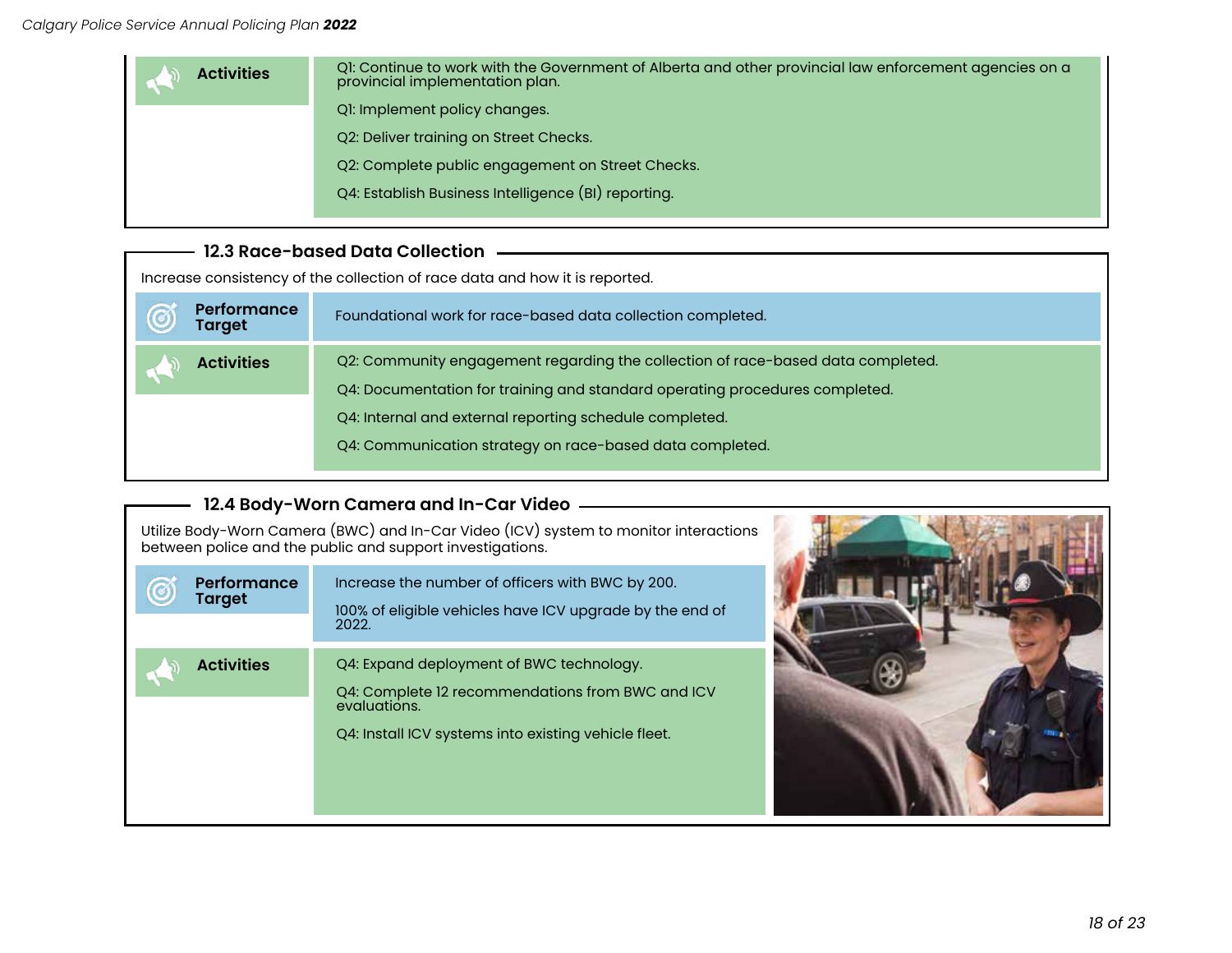| <b>Activities</b> | QI: Continue to work with the Government of Alberta and other provincial law enforcement agencies on a<br>provincial implementation plan. |
|-------------------|-------------------------------------------------------------------------------------------------------------------------------------------|
|                   | QI: Implement policy changes.                                                                                                             |
|                   | Q2: Deliver training on Street Checks.                                                                                                    |
|                   | Q2: Complete public engagement on Street Checks.                                                                                          |
|                   | Q4: Establish Business Intelligence (BI) reporting.                                                                                       |
|                   |                                                                                                                                           |

## **12.3 Race-based Data Collection**

| Increase consistency of the collection of race data and how it is reported. |                                                                                                                                                                                                                                                                                       |
|-----------------------------------------------------------------------------|---------------------------------------------------------------------------------------------------------------------------------------------------------------------------------------------------------------------------------------------------------------------------------------|
| Performance<br>Target                                                       | Foundational work for race-based data collection completed.                                                                                                                                                                                                                           |
| <b>Activities</b>                                                           | Q2: Community engagement regarding the collection of race-based data completed.<br>Q4: Documentation for training and standard operating procedures completed.<br>Q4: Internal and external reporting schedule completed.<br>Q4: Communication strategy on race-based data completed. |
|                                                                             |                                                                                                                                                                                                                                                                                       |

# **12.4 Body-Worn Camera and In-Car Video**

Utilize Body-Worn Camera (BWC) and In-Car Video (ICV) system to monitor interactions between police and the public and support investigations.

| <b>Performance</b><br><b>Target</b> | Increase the number of officers with BWC by 200.<br>100% of eligible vehicles have ICV upgrade by the end of<br>2022.                                                |  |
|-------------------------------------|----------------------------------------------------------------------------------------------------------------------------------------------------------------------|--|
| <b>Activities</b>                   | Q4: Expand deployment of BWC technology.<br>Q4: Complete 12 recommendations from BWC and ICV<br>evaluations.<br>Q4: Install ICV systems into existing vehicle fleet. |  |

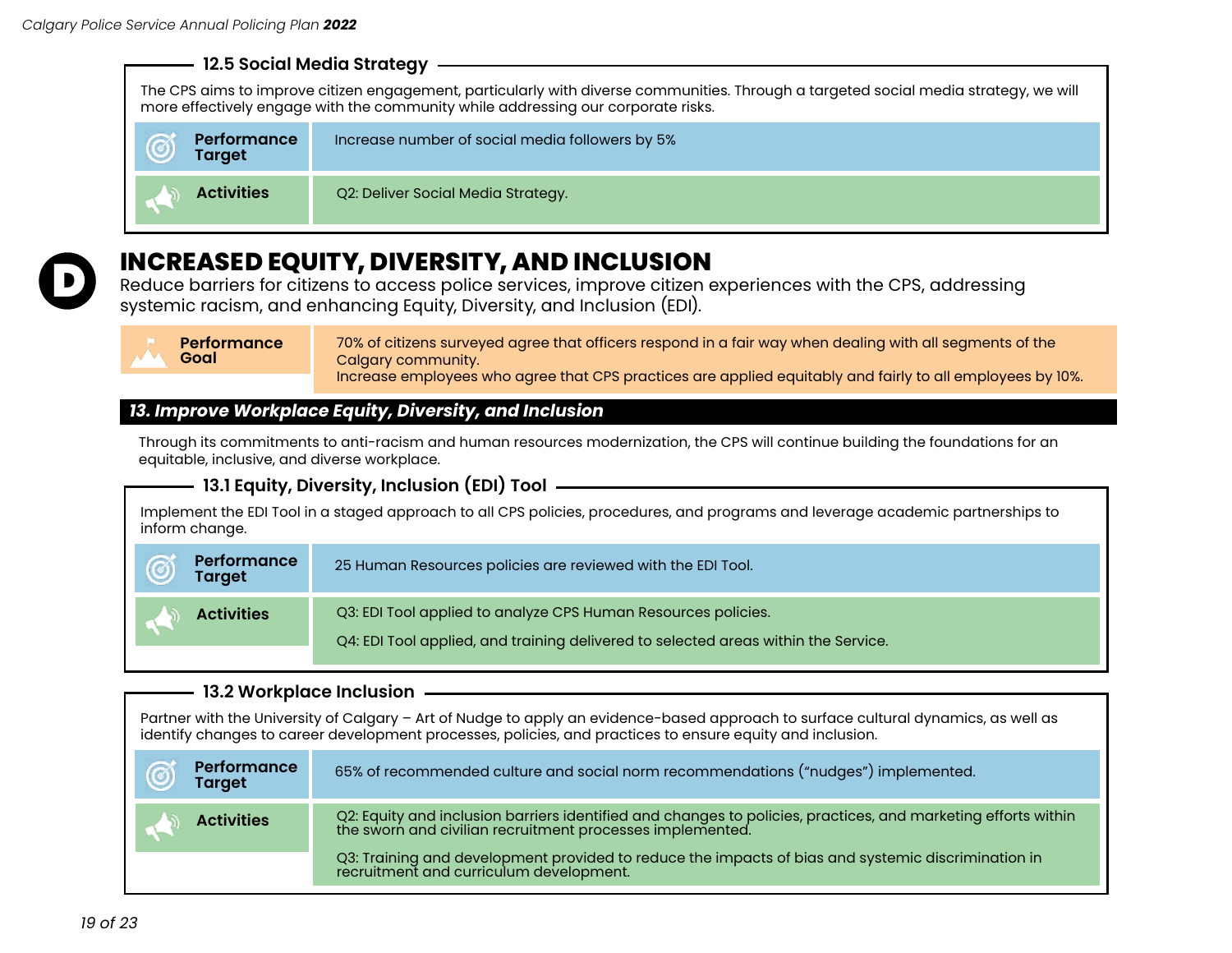## **12.5 Social Media Strategy**

The CPS aims to improve citizen engagement, particularly with diverse communities. Through a targeted social media strategy, we will more effectively engage with the community while addressing our corporate risks.

| Performance<br>a<br>U<br><b>Target</b> | Increase number of social media followers by 5% |
|----------------------------------------|-------------------------------------------------|
| <b>Activities</b>                      | Q2: Deliver Social Media Strategy.              |



# **INCREASED EQUITY, DIVERSITY, AND INCLUSION**

Reduce barriers for citizens to access police services, improve citizen experiences with the CPS, addressing systemic racism, and enhancing Equity, Diversity, and Inclusion (EDI).



70% of citizens surveyed agree that officers respond in a fair way when dealing with all segments of the Calgary community. Increase employees who agree that CPS practices are applied equitably and fairly to all employees by 10%.

# *13. Improve Workplace Equity, Diversity, and Inclusion*

Through its commitments to anti-racism and human resources modernization, the CPS will continue building the foundations for an equitable, inclusive, and diverse workplace.

# **13.1 Equity, Diversity, Inclusion (EDI) Tool**

Implement the EDI Tool in a staged approach to all CPS policies, procedures, and programs and leverage academic partnerships to inform change.

| <b>Performance</b><br><b>Target</b> | 25 Human Resources policies are reviewed with the EDI Tool.                                                                                         |
|-------------------------------------|-----------------------------------------------------------------------------------------------------------------------------------------------------|
| <b>Activities</b>                   | Q3: EDI Tool applied to analyze CPS Human Resources policies.<br>Q4: EDI Tool applied, and training delivered to selected areas within the Service. |

# **13.2 Workplace Inclusion**

Partner with the University of Calgary – Art of Nudge to apply an evidence-based approach to surface cultural dynamics, as well as identify changes to career development processes, policies, and practices to ensure equity and inclusion.

| Performance<br>$\circledcirc$<br><b>Target</b> | 65% of recommended culture and social norm recommendations ("nudges") implemented.                                                                                         |
|------------------------------------------------|----------------------------------------------------------------------------------------------------------------------------------------------------------------------------|
| <b>Activities</b>                              | Q2: Equity and inclusion barriers identified and changes to policies, practices, and marketing efforts within<br>the sworn and civilian recruitment processes implemented. |
| <b>STARS</b>                                   | Q3: Training and development provided to reduce the impacts of bias and systemic discrimination in recruitment and curriculum development.                                 |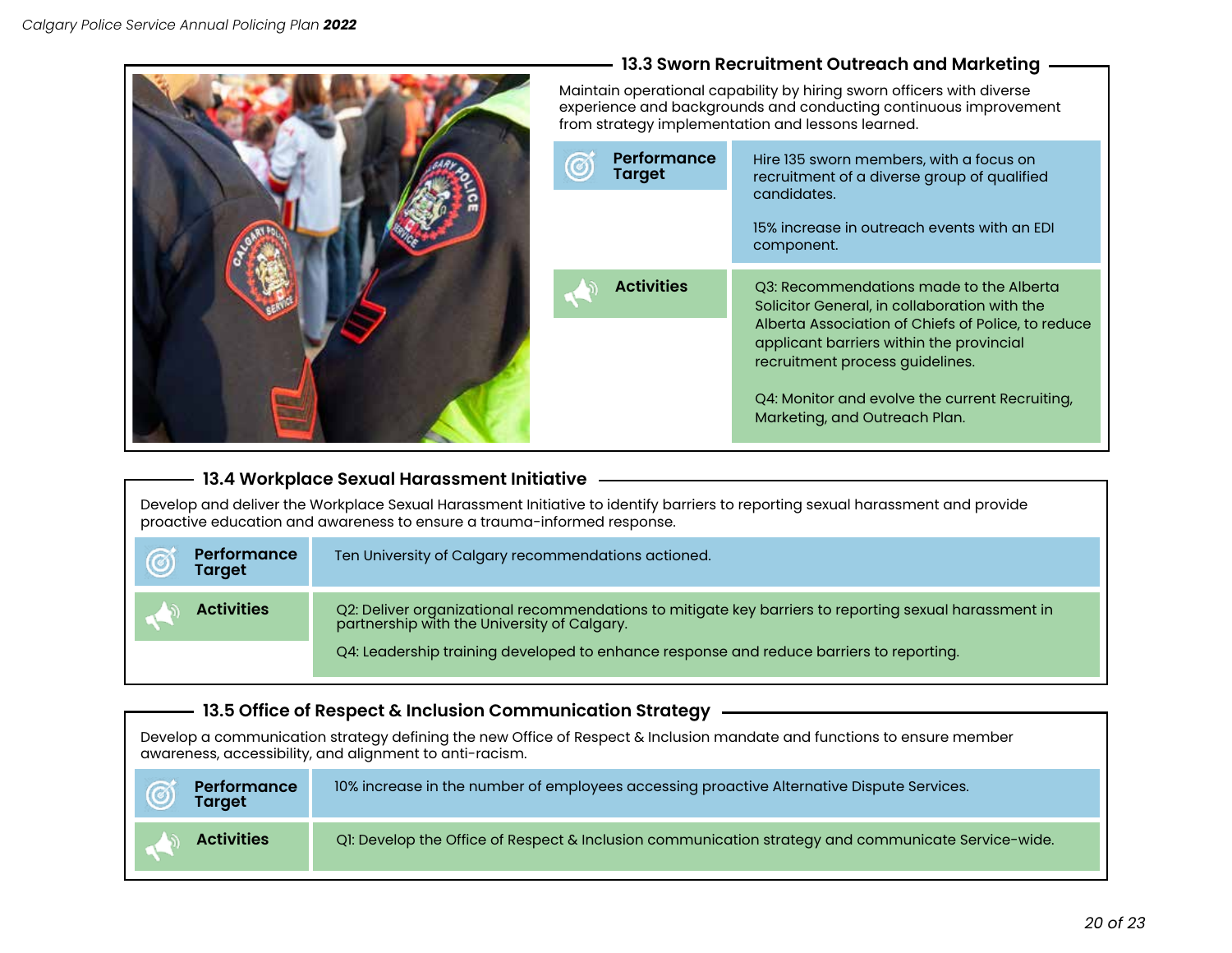

#### **13.4 Workplace Sexual Harassment Initiative**

Develop and deliver the Workplace Sexual Harassment Initiative to identify barriers to reporting sexual harassment and provide proactive education and awareness to ensure a trauma-informed response.

| <b>Performance</b><br><b>Target</b> | Ten University of Calgary recommendations actioned.                                                                                               |
|-------------------------------------|---------------------------------------------------------------------------------------------------------------------------------------------------|
| <b>Activities</b>                   | Q2: Deliver organizational recommendations to mitigate key barriers to reporting sexual harassment in partnership with the University of Calgary. |
|                                     | Q4: Leadership training developed to enhance response and reduce barriers to reporting.                                                           |

# **13.5 Office of Respect & Inclusion Communication Strategy**

Develop a communication strategy defining the new Office of Respect & Inclusion mandate and functions to ensure member awareness, accessibility, and alignment to anti-racism.

| Performance<br><b>Target</b> | 10% increase in the number of employees accessing proactive Alternative Dispute Services.          |
|------------------------------|----------------------------------------------------------------------------------------------------|
| <b>Activities</b>            | QI: Develop the Office of Respect & Inclusion communication strategy and communicate Service-wide. |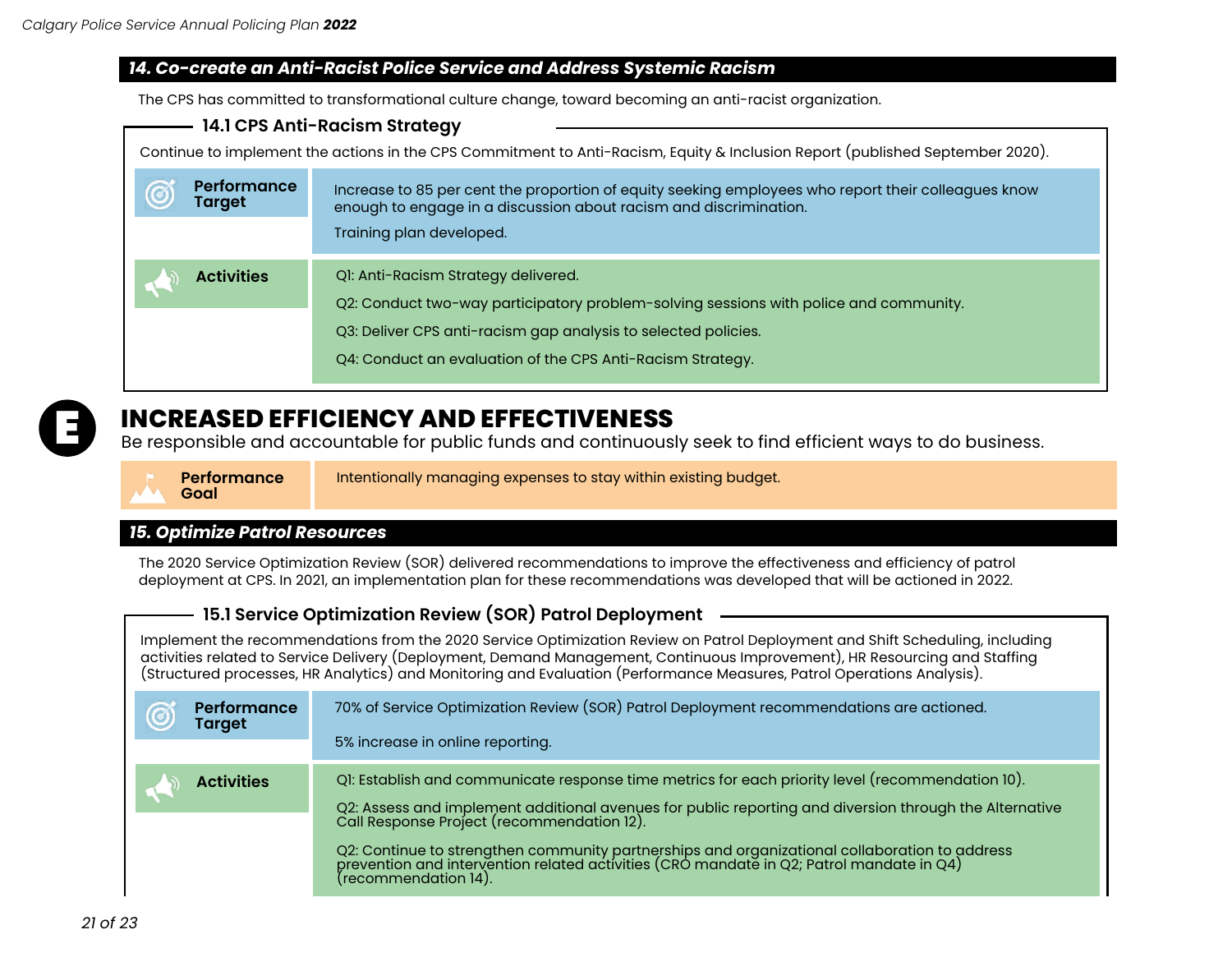## *14. Co-create an Anti-Racist Police Service and Address Systemic Racism*

The CPS has committed to transformational culture change, toward becoming an anti-racist organization.

| 14.1 CPS Anti-Racism Strategy                                                                                                 |                                                                                                                                                                          |
|-------------------------------------------------------------------------------------------------------------------------------|--------------------------------------------------------------------------------------------------------------------------------------------------------------------------|
| Continue to implement the actions in the CPS Commitment to Anti-Racism, Equity & Inclusion Report (published September 2020). |                                                                                                                                                                          |
| Performance<br><b>Target</b>                                                                                                  | Increase to 85 per cent the proportion of equity seeking employees who report their colleagues know<br>enough to engage in a discussion about racism and discrimination. |
|                                                                                                                               | Training plan developed.                                                                                                                                                 |
| <b>Activities</b>                                                                                                             | QI: Anti-Racism Strategy delivered.<br>Q2: Conduct two-way participatory problem-solving sessions with police and community.                                             |
|                                                                                                                               | Q3: Deliver CPS anti-racism gap analysis to selected policies.                                                                                                           |
|                                                                                                                               | Q4: Conduct an evaluation of the CPS Anti-Racism Strategy.                                                                                                               |



# **INCREASED EFFICIENCY AND EFFECTIVENESS**

Be responsible and accountable for public funds and continuously seek to find efficient ways to do business.



Intentionally managing expenses to stay within existing budget.

# *15. Optimize Patrol Resources*

The 2020 Service Optimization Review (SOR) delivered recommendations to improve the effectiveness and efficiency of patrol deployment at CPS. In 2021, an implementation plan for these recommendations was developed that will be actioned in 2022.

# **15.1 Service Optimization Review (SOR) Patrol Deployment**

Implement the recommendations from the 2020 Service Optimization Review on Patrol Deployment and Shift Scheduling, including activities related to Service Delivery (Deployment, Demand Management, Continuous Improvement), HR Resourcing and Staffing (Structured processes, HR Analytics) and Monitoring and Evaluation (Performance Measures, Patrol Operations Analysis).

| <b>Performance</b><br><b>Target</b> | 70% of Service Optimization Review (SOR) Patrol Deployment recommendations are actioned.                                                                                                                                                                                                                                                                                                                                                                                   |
|-------------------------------------|----------------------------------------------------------------------------------------------------------------------------------------------------------------------------------------------------------------------------------------------------------------------------------------------------------------------------------------------------------------------------------------------------------------------------------------------------------------------------|
|                                     | 5% increase in online reporting.                                                                                                                                                                                                                                                                                                                                                                                                                                           |
| <b>Activities</b>                   | QI: Establish and communicate response time metrics for each priority level (recommendation 10).<br>Q2: Assess and implement additional avenues for public reporting and diversion through the Alternative<br>Call Response Project (recommendation 12).<br>Q2: Continue to strengthen community partnerships and organizational collaboration to address prevention and intervention related activities (CRO mandate in Q2; Patrol mandate in Q4)<br>(recommendation 14). |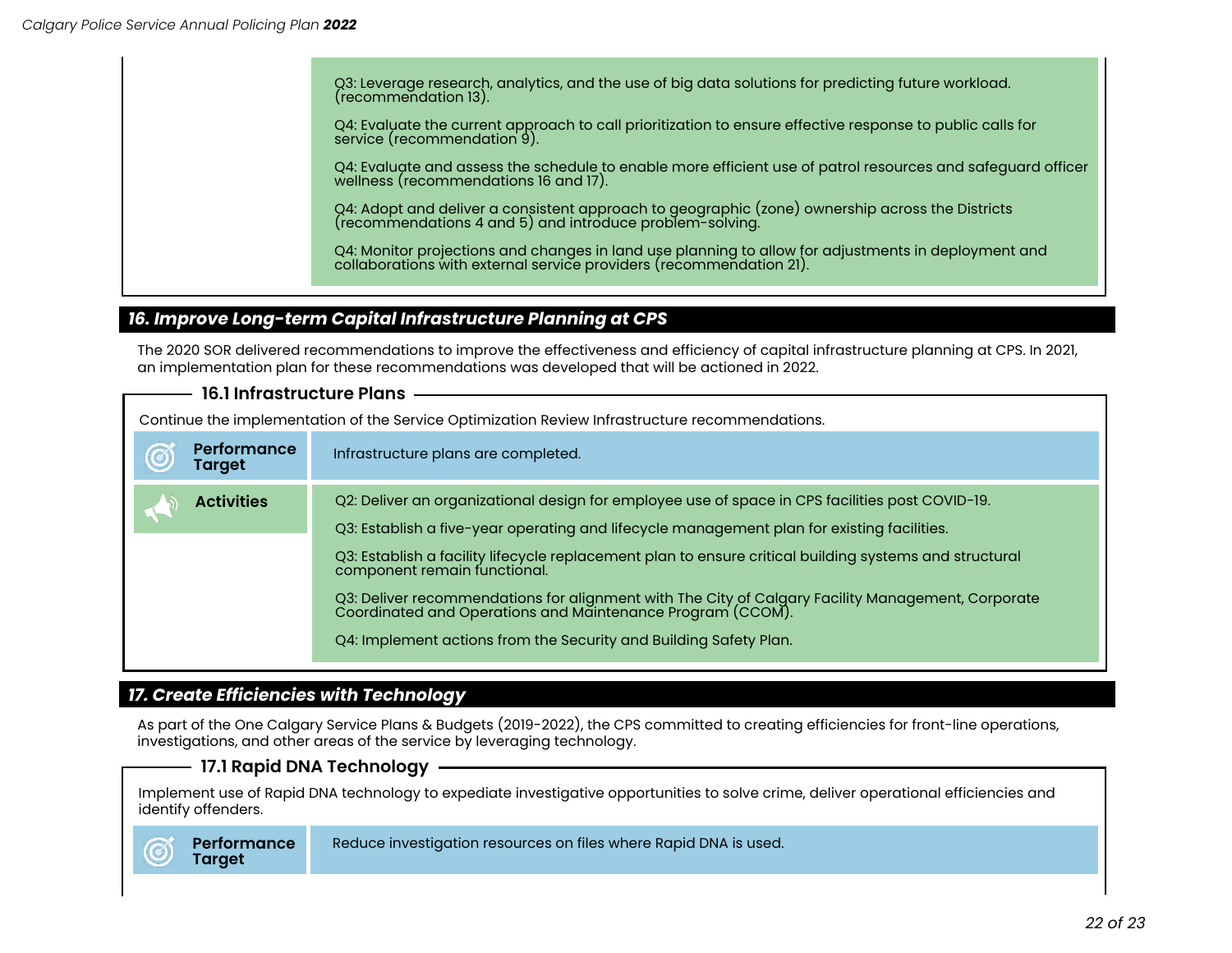Q3: Leverage research, analytics, and the use of big data solutions for predicting future workload. (recommendation 13). Q4: Evaluate the current approach to call prioritization to ensure effective response to public calls for service (recommendation 9). Q4: Evaluate and assess the schedule to enable more efficient use of patrol resources and safeguard officer wellness (recommendations 16 and 17). Q4: Adopt and deliver a consistent approach to geographic (zone) ownership across the Districts (recommendations 4 and 5) and introduce problem-solving. Q4: Monitor projections and changes in land use planning to allow for adjustments in deployment and collaborations with external service providers (recommendation 21).

# *16. Improve Long-term Capital Infrastructure Planning at CPS*

The 2020 SOR delivered recommendations to improve the effectiveness and efficiency of capital infrastructure planning at CPS. In 2021, an implementation plan for these recommendations was developed that will be actioned in 2022.

| <b>16.1 Infrastructure Plans</b>                                                               |                                                                                                                                                              |
|------------------------------------------------------------------------------------------------|--------------------------------------------------------------------------------------------------------------------------------------------------------------|
| Continue the implementation of the Service Optimization Review Infrastructure recommendations. |                                                                                                                                                              |
| <b>Performance</b><br>Target                                                                   | Infrastructure plans are completed.                                                                                                                          |
| <b>Activities</b>                                                                              | Q2: Deliver an organizational design for employee use of space in CPS facilities post COVID-19.                                                              |
|                                                                                                | Q3: Establish a five-year operating and lifecycle management plan for existing facilities.                                                                   |
|                                                                                                | Q3: Establish a facility lifecycle replacement plan to ensure critical building systems and structural<br>component remain functional.                       |
|                                                                                                | Q3: Deliver recommendations for alignment with The City of Calgary Facility Management, Corporate Coordinated and Operations and Maintenance Program (CCOM). |
|                                                                                                | Q4: Implement actions from the Security and Building Safety Plan.                                                                                            |

# *17. Create Efficiencies with Technology*

**Performance**

As part of the One Calgary Service Plans & Budgets (2019-2022), the CPS committed to creating efficiencies for front-line operations, investigations, and other areas of the service by leveraging technology.

#### **17.1 Rapid DNA Technology**

Implement use of Rapid DNA technology to expediate investigative opportunities to solve crime, deliver operational efficiencies and identify offenders.



Reduce investigation resources on files where Rapid DNA is used.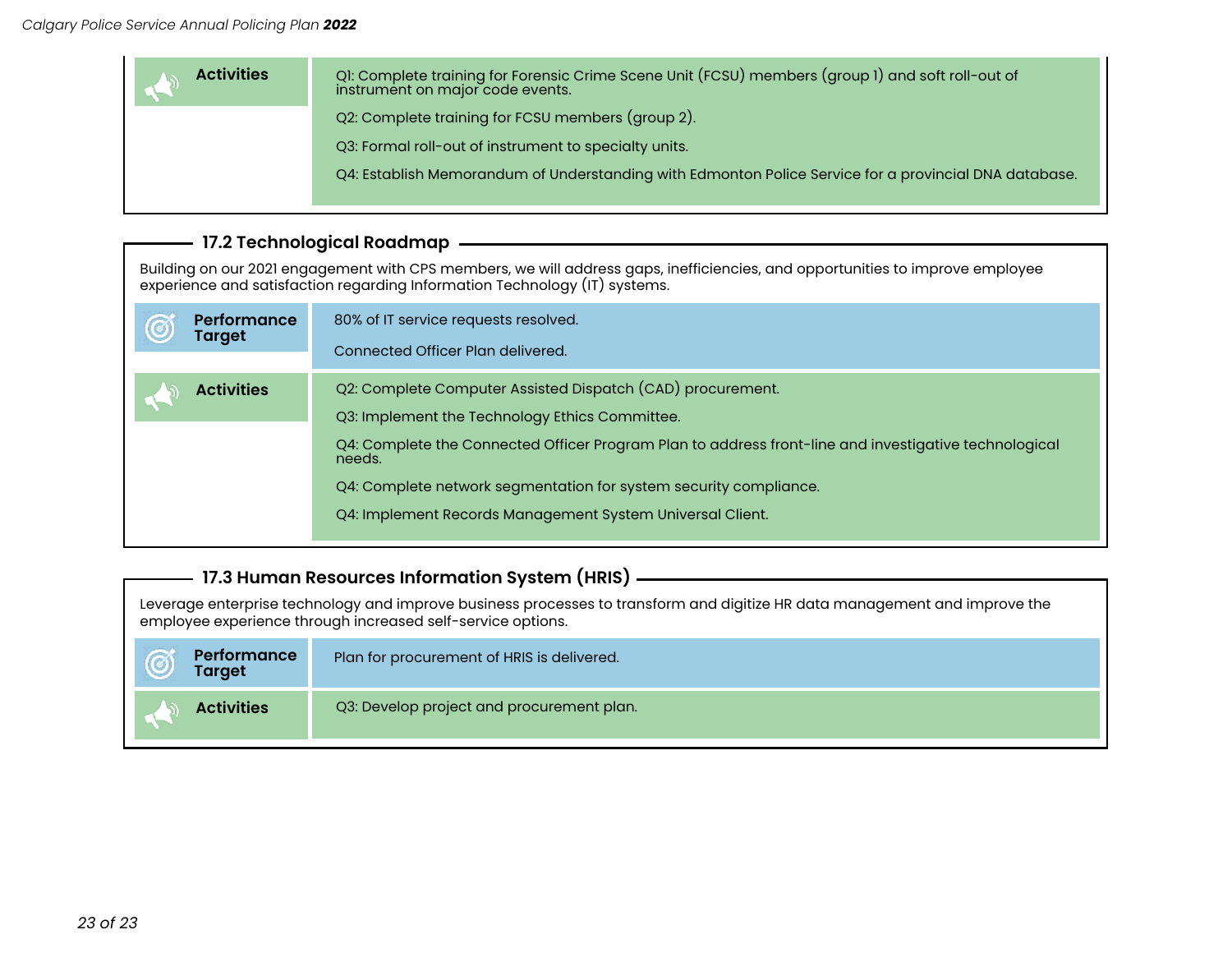| <b>Activities</b> | QI: Complete training for Forensic Crime Scene Unit (FCSU) members (group 1) and soft roll-out of<br>instrument on major code events. |
|-------------------|---------------------------------------------------------------------------------------------------------------------------------------|
|                   | Q2: Complete training for FCSU members (group 2).                                                                                     |
|                   | Q3: Formal roll-out of instrument to specialty units.                                                                                 |
|                   | Q4: Establish Memorandum of Understanding with Edmonton Police Service for a provincial DNA database.                                 |
|                   |                                                                                                                                       |

# **17.2 Technological Roadmap**

Building on our 2021 engagement with CPS members, we will address gaps, inefficiencies, and opportunities to improve employee experience and satisfaction regarding Information Technology (IT) systems.

| <b>Performance</b> | 80% of IT service requests resolved.                                                                                                                                                                                                                                                                                                                              |
|--------------------|-------------------------------------------------------------------------------------------------------------------------------------------------------------------------------------------------------------------------------------------------------------------------------------------------------------------------------------------------------------------|
| Target             | Connected Officer Plan delivered.                                                                                                                                                                                                                                                                                                                                 |
| <b>Activities</b>  | Q2: Complete Computer Assisted Dispatch (CAD) procurement.<br>Q3: Implement the Technology Ethics Committee.<br>Q4: Complete the Connected Officer Program Plan to address front-line and investigative technological<br>needs.<br>Q4: Complete network segmentation for system security compliance.<br>Q4: Implement Records Management System Universal Client. |

# **17.3 Human Resources Information System (HRIS)**

Leverage enterprise technology and improve business processes to transform and digitize HR data management and improve the employee experience through increased self-service options.

| Performance<br><b>Target</b> | Plan for procurement of HRIS is delivered. |
|------------------------------|--------------------------------------------|
| <b>Activities</b>            | Q3: Develop project and procurement plan.  |